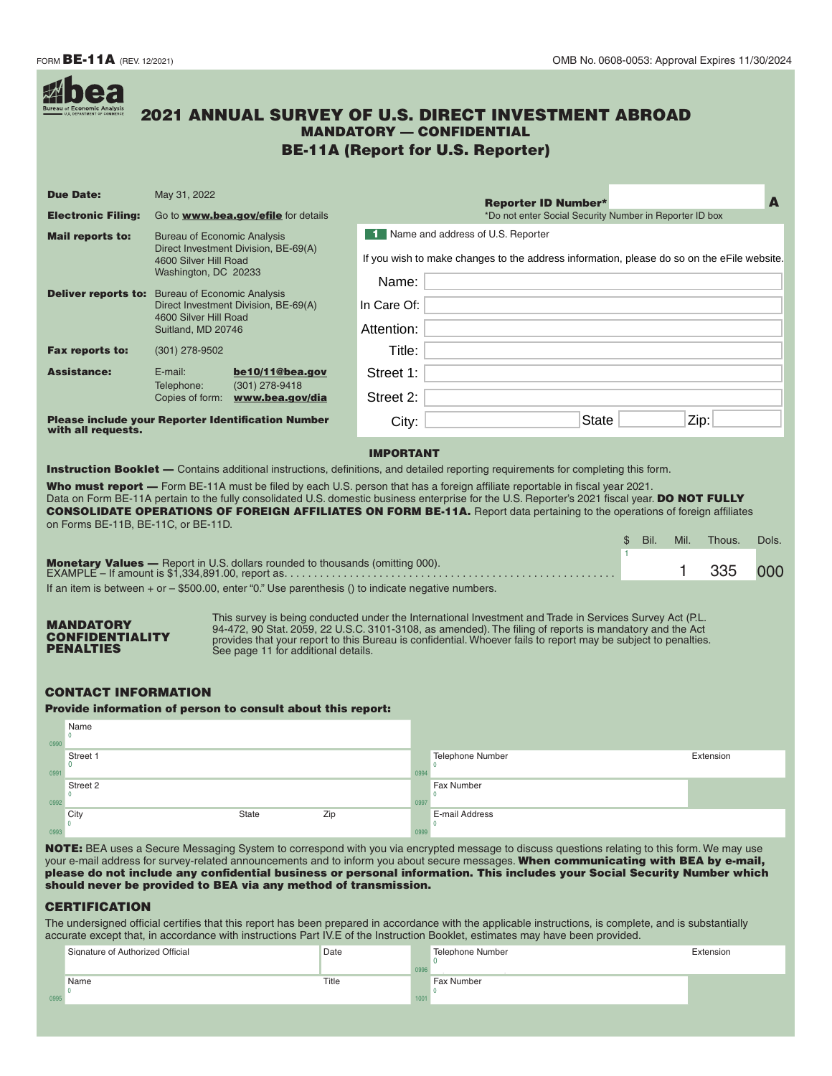| <b>Due Date:</b>                                                                                              | May 31, 2022                                                                                        |                                      |                                                   |                                                                                                          |                                                                                                                                                                                                                                                                                                                                                                                                                                                                                                                                                                                                                                                                             | <b>Reporter ID Number*</b>                              |                         |               |              |
|---------------------------------------------------------------------------------------------------------------|-----------------------------------------------------------------------------------------------------|--------------------------------------|---------------------------------------------------|----------------------------------------------------------------------------------------------------------|-----------------------------------------------------------------------------------------------------------------------------------------------------------------------------------------------------------------------------------------------------------------------------------------------------------------------------------------------------------------------------------------------------------------------------------------------------------------------------------------------------------------------------------------------------------------------------------------------------------------------------------------------------------------------------|---------------------------------------------------------|-------------------------|---------------|--------------|
| <b>Electronic Filing:</b>                                                                                     |                                                                                                     |                                      | Go to <b>www.bea.gov/efile</b> for details        |                                                                                                          | 1 Name and address of U.S. Reporter                                                                                                                                                                                                                                                                                                                                                                                                                                                                                                                                                                                                                                         | *Do not enter Social Security Number in Reporter ID box |                         |               |              |
| <b>Mail reports to:</b>                                                                                       | <b>Bureau of Economic Analysis</b><br>Direct Investment Division, BE-69(A)<br>4600 Silver Hill Road |                                      |                                                   |                                                                                                          | If you wish to make changes to the address information, please do so on the eFile website.                                                                                                                                                                                                                                                                                                                                                                                                                                                                                                                                                                                  |                                                         |                         |               |              |
|                                                                                                               | Washington, DC 20233                                                                                |                                      |                                                   | Name:                                                                                                    |                                                                                                                                                                                                                                                                                                                                                                                                                                                                                                                                                                                                                                                                             |                                                         |                         |               |              |
| <b>Deliver reports to:</b> Bureau of Economic Analysis                                                        |                                                                                                     | Direct Investment Division, BE-69(A) |                                                   | In Care Of:                                                                                              |                                                                                                                                                                                                                                                                                                                                                                                                                                                                                                                                                                                                                                                                             |                                                         |                         |               |              |
|                                                                                                               | 4600 Silver Hill Road<br>Suitland, MD 20746                                                         |                                      |                                                   | Attention:                                                                                               |                                                                                                                                                                                                                                                                                                                                                                                                                                                                                                                                                                                                                                                                             |                                                         |                         |               |              |
| Fax reports to:                                                                                               | $(301)$ 278-9502                                                                                    |                                      |                                                   | Title:                                                                                                   |                                                                                                                                                                                                                                                                                                                                                                                                                                                                                                                                                                                                                                                                             |                                                         |                         |               |              |
| <b>Assistance:</b>                                                                                            | $E$ -mail:                                                                                          |                                      | be10/11@bea.gov                                   | Street 1:                                                                                                |                                                                                                                                                                                                                                                                                                                                                                                                                                                                                                                                                                                                                                                                             |                                                         |                         |               |              |
|                                                                                                               | Telephone:                                                                                          |                                      | (301) 278-9418<br>Copies of form: www.bea.gov/dia | Street 2:                                                                                                |                                                                                                                                                                                                                                                                                                                                                                                                                                                                                                                                                                                                                                                                             |                                                         |                         |               |              |
|                                                                                                               | <b>Please include your Reporter Identification Number</b>                                           |                                      |                                                   | City:                                                                                                    |                                                                                                                                                                                                                                                                                                                                                                                                                                                                                                                                                                                                                                                                             | <b>State</b>                                            |                         | Zip:          |              |
|                                                                                                               |                                                                                                     |                                      |                                                   | <b>IMPORTANT</b><br><b>Monetary Values</b> — Report in U.S. dollars rounded to thousands (omitting 000). | <b>Instruction Booklet</b> — Contains additional instructions, definitions, and detailed reporting requirements for completing this form.<br>Who must report - Form BE-11A must be filed by each U.S. person that has a foreign affiliate reportable in fiscal year 2021.<br>Data on Form BE-11A pertain to the fully consolidated U.S. domestic business enterprise for the U.S. Reporter's 2021 fiscal year. DO NOT FULLY<br><b>CONSOLIDATE OPERATIONS OF FOREIGN AFFILIATES ON FORM BE-11A.</b> Report data pertaining to the operations of foreign affiliates<br>If an item is between $+$ or $-$ \$500.00, enter "0." Use parenthesis () to indicate negative numbers. |                                                         | Bil.<br>Mil.<br>\$<br>1 | Thous.<br>335 | Dols.<br>000 |
| with all requests.<br>on Forms BE-11B, BE-11C, or BE-11D.<br>MANDATORY<br><b>CONFIDENTIALITY</b>              |                                                                                                     |                                      |                                                   |                                                                                                          | This survey is being conducted under the International Investment and Trade in Services Survey Act (P.L.<br>94-472, 90 Stat. 2059, 22 U.S.C. 3101-3108, as amended). The filing of reports is mandatory and the Act                                                                                                                                                                                                                                                                                                                                                                                                                                                         |                                                         |                         |               |              |
| PENALTIES<br><b>CONTACT INFORMATION</b><br><b>Provide information of person to consult about this report:</b> |                                                                                                     |                                      | See page 11 for additional details.               |                                                                                                          | provides that your report to this Bureau is confidential. Whoever fails to report may be subject to penalties.                                                                                                                                                                                                                                                                                                                                                                                                                                                                                                                                                              |                                                         |                         |               |              |
| Name<br>$\mathbf 0$                                                                                           |                                                                                                     |                                      |                                                   |                                                                                                          |                                                                                                                                                                                                                                                                                                                                                                                                                                                                                                                                                                                                                                                                             |                                                         |                         |               |              |
|                                                                                                               |                                                                                                     |                                      |                                                   |                                                                                                          | <b>Telephone Number</b><br>$\Omega$                                                                                                                                                                                                                                                                                                                                                                                                                                                                                                                                                                                                                                         |                                                         |                         | Extension     |              |
| Street 1<br>$^{0}$<br>Street 2<br>$\Omega$                                                                    |                                                                                                     |                                      |                                                   |                                                                                                          | 0994<br>Fax Number<br>0997                                                                                                                                                                                                                                                                                                                                                                                                                                                                                                                                                                                                                                                  |                                                         |                         |               |              |

|      | Signature of Authorized Official | Date  | Telephone Number  | Extension |
|------|----------------------------------|-------|-------------------|-----------|
|      |                                  |       |                   |           |
|      | Name                             | Title | <b>Fax Number</b> |           |
| 0995 |                                  |       |                   |           |
|      |                                  |       |                   |           |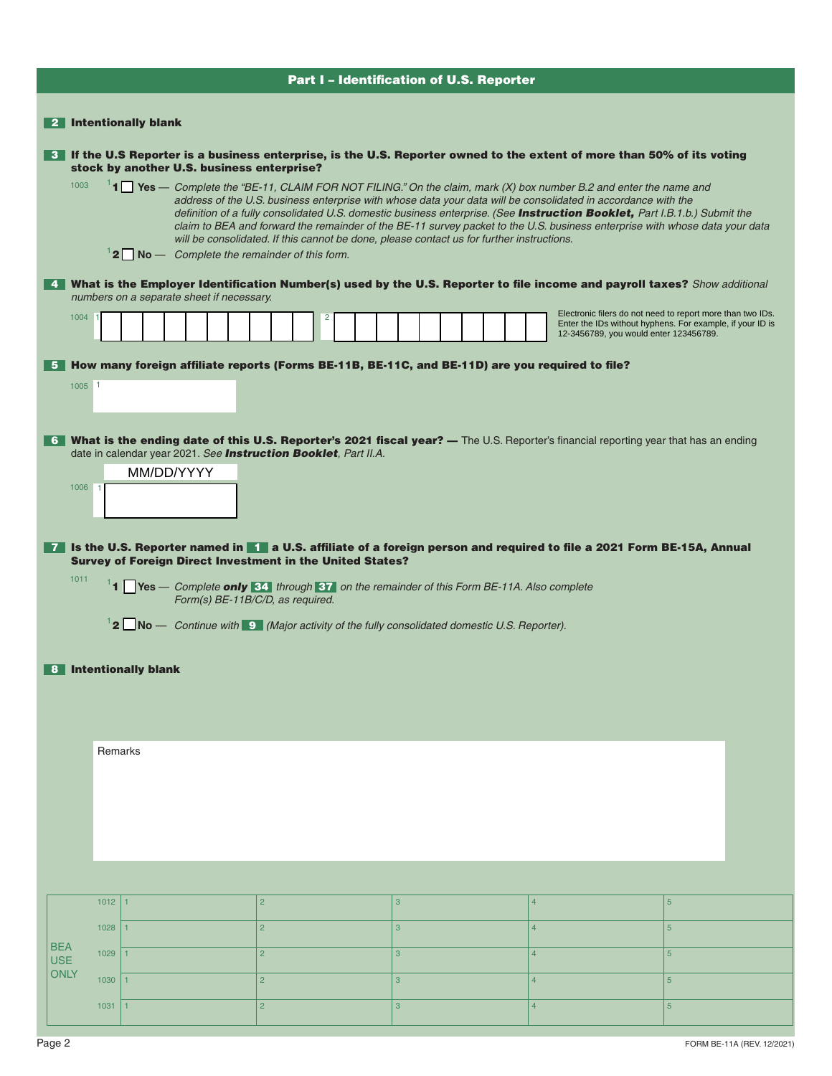|                          | Part I - Identification of U.S. Reporter                                                                                                                                                                                                                                                                                                                                                                                                                                                                                                                                                                                                                  |      |                       |            |  |                                                                                                                                                                                                                              |  |  |  |                                                                                                                                                                   |   |  |                |                                                                                                                                                                                                                                                                                                                                                                                                                                                                                                                                               |
|--------------------------|-----------------------------------------------------------------------------------------------------------------------------------------------------------------------------------------------------------------------------------------------------------------------------------------------------------------------------------------------------------------------------------------------------------------------------------------------------------------------------------------------------------------------------------------------------------------------------------------------------------------------------------------------------------|------|-----------------------|------------|--|------------------------------------------------------------------------------------------------------------------------------------------------------------------------------------------------------------------------------|--|--|--|-------------------------------------------------------------------------------------------------------------------------------------------------------------------|---|--|----------------|-----------------------------------------------------------------------------------------------------------------------------------------------------------------------------------------------------------------------------------------------------------------------------------------------------------------------------------------------------------------------------------------------------------------------------------------------------------------------------------------------------------------------------------------------|
|                          |                                                                                                                                                                                                                                                                                                                                                                                                                                                                                                                                                                                                                                                           |      |                       |            |  |                                                                                                                                                                                                                              |  |  |  |                                                                                                                                                                   |   |  |                |                                                                                                                                                                                                                                                                                                                                                                                                                                                                                                                                               |
| 2 Intentionally blank    |                                                                                                                                                                                                                                                                                                                                                                                                                                                                                                                                                                                                                                                           |      |                       |            |  |                                                                                                                                                                                                                              |  |  |  |                                                                                                                                                                   |   |  |                |                                                                                                                                                                                                                                                                                                                                                                                                                                                                                                                                               |
|                          | 3 If the U.S Reporter is a business enterprise, is the U.S. Reporter owned to the extent of more than 50% of its voting<br>stock by another U.S. business enterprise?                                                                                                                                                                                                                                                                                                                                                                                                                                                                                     |      |                       |            |  |                                                                                                                                                                                                                              |  |  |  |                                                                                                                                                                   |   |  |                |                                                                                                                                                                                                                                                                                                                                                                                                                                                                                                                                               |
|                          | 1003<br>$11$ Yes - Complete the "BE-11, CLAIM FOR NOT FILING." On the claim, mark (X) box number B.2 and enter the name and<br>address of the U.S. business enterprise with whose data your data will be consolidated in accordance with the<br>definition of a fully consolidated U.S. domestic business enterprise. (See Instruction Booklet, Part I.B.1.b.) Submit the<br>claim to BEA and forward the remainder of the BE-11 survey packet to the U.S. business enterprise with whose data your data<br>will be consolidated. If this cannot be done, please contact us for further instructions.<br>$12$ No $-$ Complete the remainder of this form. |      |                       |            |  |                                                                                                                                                                                                                              |  |  |  |                                                                                                                                                                   |   |  |                |                                                                                                                                                                                                                                                                                                                                                                                                                                                                                                                                               |
|                          | 4. What is the Employer Identification Number(s) used by the U.S. Reporter to file income and payroll taxes? Show additional<br>numbers on a separate sheet if necessary.                                                                                                                                                                                                                                                                                                                                                                                                                                                                                 |      |                       |            |  |                                                                                                                                                                                                                              |  |  |  |                                                                                                                                                                   |   |  |                |                                                                                                                                                                                                                                                                                                                                                                                                                                                                                                                                               |
|                          | 1004<br>2                                                                                                                                                                                                                                                                                                                                                                                                                                                                                                                                                                                                                                                 |      |                       |            |  |                                                                                                                                                                                                                              |  |  |  | Electronic filers do not need to report more than two IDs.<br>Enter the IDs without hyphens. For example, if your ID is<br>12-3456789, you would enter 123456789. |   |  |                |                                                                                                                                                                                                                                                                                                                                                                                                                                                                                                                                               |
| -5<br>17 I               | $1005$ 1<br>1006<br>1011                                                                                                                                                                                                                                                                                                                                                                                                                                                                                                                                                                                                                                  |      | 8 Intentionally blank | MM/DD/YYYY |  | date in calendar year 2021. See Instruction Booklet, Part II.A.<br>Survey of Foreign Direct Investment in the United States?<br>$12$ No – Continue with 9 (Major activity of the fully consolidated domestic U.S. Reporter). |  |  |  |                                                                                                                                                                   |   |  |                | How many foreign affiliate reports (Forms BE-11B, BE-11C, and BE-11D) are you required to file?<br>6 What is the ending date of this U.S. Reporter's 2021 fiscal year? — The U.S. Reporter's financial reporting year that has an ending<br>Is the U.S. Reporter named in 1 a U.S. affiliate of a foreign person and required to file a 2021 Form BE-15A, Annual<br><sup>1</sup> <b>1</b> $\blacksquare$ Yes — Complete <b>only 34</b> through <b>37</b> on the remainder of this Form BE-11A. Also complete Form(s) BE-11B/C/D, as required. |
|                          | Remarks                                                                                                                                                                                                                                                                                                                                                                                                                                                                                                                                                                                                                                                   |      |                       |            |  |                                                                                                                                                                                                                              |  |  |  |                                                                                                                                                                   |   |  |                |                                                                                                                                                                                                                                                                                                                                                                                                                                                                                                                                               |
|                          |                                                                                                                                                                                                                                                                                                                                                                                                                                                                                                                                                                                                                                                           |      |                       |            |  |                                                                                                                                                                                                                              |  |  |  |                                                                                                                                                                   |   |  |                |                                                                                                                                                                                                                                                                                                                                                                                                                                                                                                                                               |
|                          |                                                                                                                                                                                                                                                                                                                                                                                                                                                                                                                                                                                                                                                           | 1012 | 1                     |            |  | $\overline{2}$                                                                                                                                                                                                               |  |  |  |                                                                                                                                                                   | 3 |  | $\overline{4}$ | $5\phantom{.0}$                                                                                                                                                                                                                                                                                                                                                                                                                                                                                                                               |
|                          |                                                                                                                                                                                                                                                                                                                                                                                                                                                                                                                                                                                                                                                           | 1028 | $\mathbf{1}$          |            |  | $\overline{2}$                                                                                                                                                                                                               |  |  |  |                                                                                                                                                                   | 3 |  | $\overline{4}$ | $5\phantom{1}$                                                                                                                                                                                                                                                                                                                                                                                                                                                                                                                                |
| <b>BEA</b><br><b>USE</b> |                                                                                                                                                                                                                                                                                                                                                                                                                                                                                                                                                                                                                                                           | 1029 | $\mathbf{1}$          |            |  | $\overline{2}$                                                                                                                                                                                                               |  |  |  |                                                                                                                                                                   | 3 |  | $\overline{4}$ | 5 <sup>5</sup>                                                                                                                                                                                                                                                                                                                                                                                                                                                                                                                                |
| <b>ONLY</b>              |                                                                                                                                                                                                                                                                                                                                                                                                                                                                                                                                                                                                                                                           | 1030 | $\mathbf{1}$          |            |  | $\overline{2}$                                                                                                                                                                                                               |  |  |  |                                                                                                                                                                   | 3 |  | $\overline{4}$ | 5 <sup>5</sup>                                                                                                                                                                                                                                                                                                                                                                                                                                                                                                                                |
|                          |                                                                                                                                                                                                                                                                                                                                                                                                                                                                                                                                                                                                                                                           | 1031 | $\mathbf{1}$          |            |  | $\overline{2}$                                                                                                                                                                                                               |  |  |  |                                                                                                                                                                   | 3 |  | $\overline{4}$ | $5\phantom{.}$                                                                                                                                                                                                                                                                                                                                                                                                                                                                                                                                |
|                          |                                                                                                                                                                                                                                                                                                                                                                                                                                                                                                                                                                                                                                                           |      |                       |            |  |                                                                                                                                                                                                                              |  |  |  |                                                                                                                                                                   |   |  |                |                                                                                                                                                                                                                                                                                                                                                                                                                                                                                                                                               |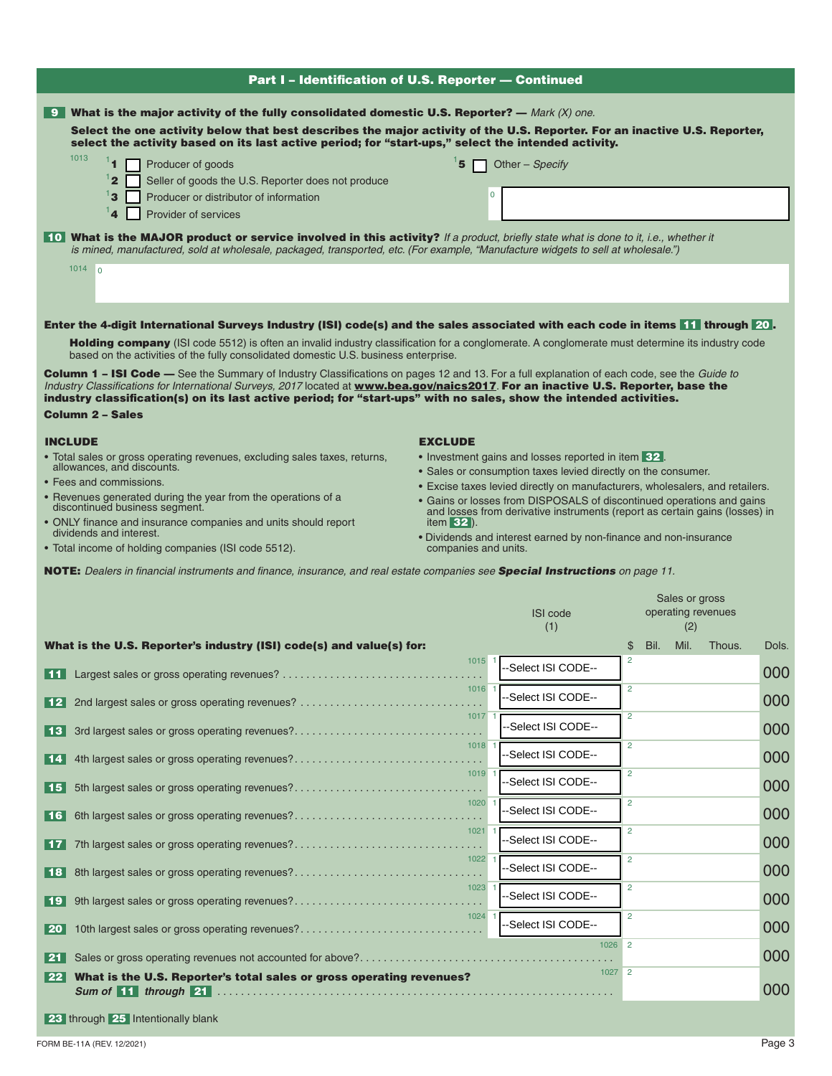| <b>Part I - Identification of U.S. Reporter - Continued</b>                                                                                                                                                                                                              |                      |                                                                                                                                                       |                           |                 |  |  |  |
|--------------------------------------------------------------------------------------------------------------------------------------------------------------------------------------------------------------------------------------------------------------------------|----------------------|-------------------------------------------------------------------------------------------------------------------------------------------------------|---------------------------|-----------------|--|--|--|
| <b>9</b> What is the major activity of the fully consolidated domestic U.S. Reporter? — Mark (X) one.                                                                                                                                                                    |                      |                                                                                                                                                       |                           |                 |  |  |  |
| Select the one activity below that best describes the major activity of the U.S. Reporter. For an inactive U.S. Reporter,<br>select the activity based on its last active period; for "start-ups," select the intended activity.                                         |                      |                                                                                                                                                       |                           |                 |  |  |  |
| 1013<br>14<br>Producer of goods                                                                                                                                                                                                                                          | Other - Specify      |                                                                                                                                                       |                           |                 |  |  |  |
| $^1$ 2<br>Seller of goods the U.S. Reporter does not produce<br>$^1$ 3<br>Producer or distributor of information                                                                                                                                                         | $\mathbf 0$          |                                                                                                                                                       |                           |                 |  |  |  |
| 14<br>Provider of services                                                                                                                                                                                                                                               |                      |                                                                                                                                                       |                           |                 |  |  |  |
| 10 What is the MAJOR product or service involved in this activity? If a product, briefly state what is done to it, i.e., whether it<br>is mined, manufactured, sold at wholesale, packaged, transported, etc. (For example, "Manufacture widgets to sell at wholesale.") |                      |                                                                                                                                                       |                           |                 |  |  |  |
| $1014$ 0                                                                                                                                                                                                                                                                 |                      |                                                                                                                                                       |                           |                 |  |  |  |
|                                                                                                                                                                                                                                                                          |                      |                                                                                                                                                       |                           |                 |  |  |  |
| <b>Enter the 4-digit International Surveys Industry (ISI) code(s) and the sales associated with each code in items 11 through 20.</b>                                                                                                                                    |                      |                                                                                                                                                       |                           |                 |  |  |  |
| <b>Holding company</b> (ISI code 5512) is often an invalid industry classification for a conglomerate. A conglomerate must determine its industry code<br>based on the activities of the fully consolidated domestic U.S. business enterprise.                           |                      |                                                                                                                                                       |                           |                 |  |  |  |
| <b>Column 1 - ISI Code -</b> See the Summary of Industry Classifications on pages 12 and 13. For a full explanation of each code, see the Guide to                                                                                                                       |                      |                                                                                                                                                       |                           |                 |  |  |  |
| Industry Classifications for International Surveys, 2017 located at www.bea.gov/naics2017. For an inactive U.S. Reporter, base the<br>industry classification(s) on its last active period; for "start-ups" with no sales, show the intended activities.                 |                      |                                                                                                                                                       |                           |                 |  |  |  |
| <b>Column 2 - Sales</b>                                                                                                                                                                                                                                                  |                      |                                                                                                                                                       |                           |                 |  |  |  |
| <b>INCLUDE</b><br>• Total sales or gross operating revenues, excluding sales taxes, returns,                                                                                                                                                                             | <b>EXCLUDE</b>       | • Investment gains and losses reported in item 32.                                                                                                    |                           |                 |  |  |  |
| allowances, and discounts.                                                                                                                                                                                                                                               |                      | • Sales or consumption taxes levied directly on the consumer.                                                                                         |                           |                 |  |  |  |
| • Fees and commissions.<br>• Revenues generated during the year from the operations of a                                                                                                                                                                                 |                      | • Excise taxes levied directly on manufacturers, wholesalers, and retailers.<br>• Gains or losses from DISPOSALS of discontinued operations and gains |                           |                 |  |  |  |
| discontinued business segment.<br>• ONLY finance and insurance companies and units should report                                                                                                                                                                         | item $32$ ).         | and losses from derivative instruments (report as certain gains (losses) in                                                                           |                           |                 |  |  |  |
| dividends and interest.<br>• Total income of holding companies (ISI code 5512).                                                                                                                                                                                          | companies and units. | · Dividends and interest earned by non-finance and non-insurance                                                                                      |                           |                 |  |  |  |
| <b>NOTE:</b> Dealers in financial instruments and finance, insurance, and real estate companies see Special Instructions on page 11.                                                                                                                                     |                      |                                                                                                                                                       |                           |                 |  |  |  |
|                                                                                                                                                                                                                                                                          |                      |                                                                                                                                                       | Sales or gross            |                 |  |  |  |
|                                                                                                                                                                                                                                                                          |                      | <b>ISI</b> code                                                                                                                                       | operating revenues        |                 |  |  |  |
| What is the U.S. Reporter's industry (ISI) code(s) and value(s) for:                                                                                                                                                                                                     |                      | (1)                                                                                                                                                   | (2)<br>Mil.<br>Bil.<br>\$ | Thous.<br>Dols. |  |  |  |
|                                                                                                                                                                                                                                                                          | 1015                 | Select ISI CODE--                                                                                                                                     | 2                         | 000             |  |  |  |
| Largest sales or gross operating revenues?                                                                                                                                                                                                                               | 1016 1               | -Select ISI CODE--                                                                                                                                    | 2                         |                 |  |  |  |
| 2nd largest sales or gross operating revenues?<br>  12                                                                                                                                                                                                                   | $1017$ 1             | Select ISI CODE--                                                                                                                                     | $\overline{c}$            | 000             |  |  |  |
| 3rd largest sales or gross operating revenues?<br>  13                                                                                                                                                                                                                   | $1018$ 1             |                                                                                                                                                       | $\overline{c}$            | 000             |  |  |  |
| 4th largest sales or gross operating revenues?<br>  14                                                                                                                                                                                                                   | 1019 1               | -Select ISI CODE--                                                                                                                                    | $\overline{2}$            | 000             |  |  |  |
| 5th largest sales or gross operating revenues?<br>  15                                                                                                                                                                                                                   | 1020 1               | Select ISI CODE--                                                                                                                                     | 2                         | 000             |  |  |  |
| 6th largest sales or gross operating revenues?<br>  16                                                                                                                                                                                                                   | $1021$ 1             | Select ISI CODE--                                                                                                                                     | $\overline{c}$            | 000             |  |  |  |
| 7th largest sales or gross operating revenues?<br>  17                                                                                                                                                                                                                   | 1022 1               | -Select ISI CODE--                                                                                                                                    |                           | 000             |  |  |  |
| 8th largest sales or gross operating revenues?<br>  18                                                                                                                                                                                                                   |                      | -Select ISI CODE--                                                                                                                                    | $\overline{2}$            | 000             |  |  |  |
| 9th largest sales or gross operating revenues?<br>∣ 19                                                                                                                                                                                                                   | $1023$ 1             | -Select ISI CODE--                                                                                                                                    | $\overline{2}$            | 000             |  |  |  |
| 10th largest sales or gross operating revenues?<br>  20                                                                                                                                                                                                                  | 1024 1               | -Select ISI CODE--                                                                                                                                    | $\overline{2}$            | 000             |  |  |  |
| l 21                                                                                                                                                                                                                                                                     |                      |                                                                                                                                                       | $1026$ 2                  | 000             |  |  |  |
| What is the U.S. Reporter's total sales or gross operating revenues?<br>  22                                                                                                                                                                                             |                      |                                                                                                                                                       | $1027 \quad 2$            | 000             |  |  |  |
| 23 through 25 Intentionally blank                                                                                                                                                                                                                                        |                      |                                                                                                                                                       |                           |                 |  |  |  |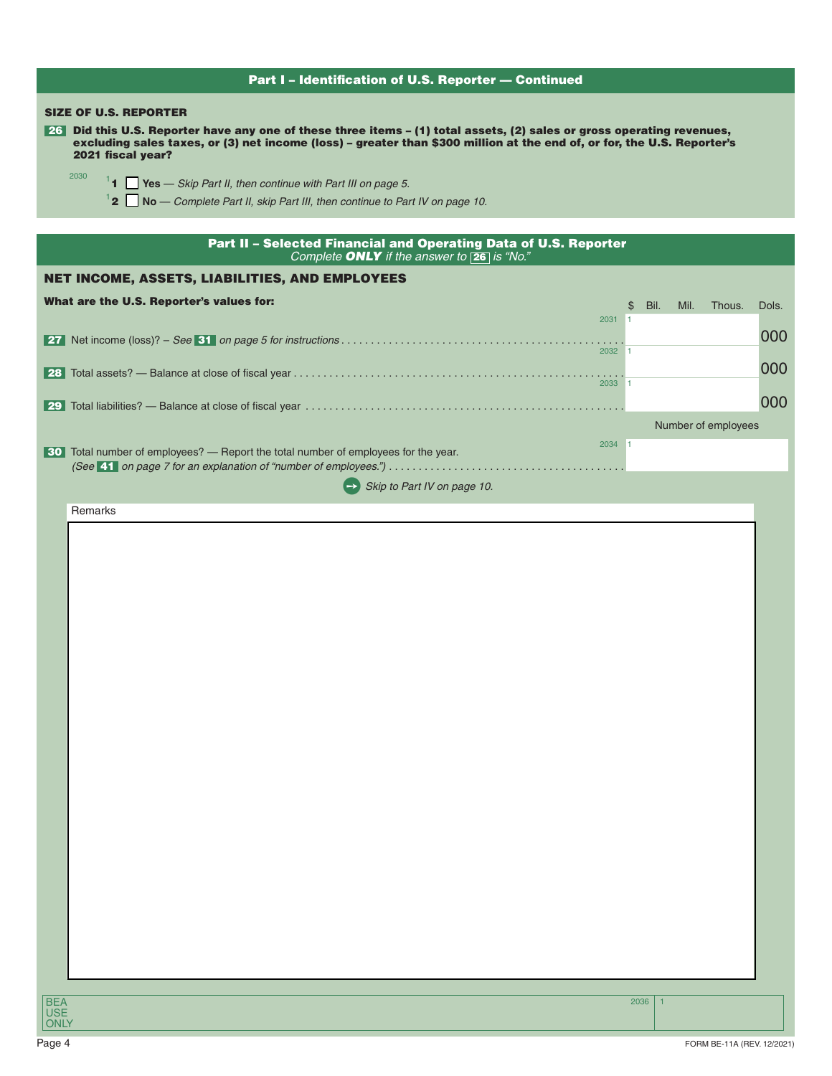| Part I - Identification of U.S. Reporter - Continued                                                                                                                                                                                                                                                   |      |                            |       |  |  |  |
|--------------------------------------------------------------------------------------------------------------------------------------------------------------------------------------------------------------------------------------------------------------------------------------------------------|------|----------------------------|-------|--|--|--|
| <b>SIZE OF U.S. REPORTER</b><br>26 Did this U.S. Reporter have any one of these three items - (1) total assets, (2) sales or gross operating revenues,<br>excluding sales taxes, or (3) net income (loss) - greater than \$300 million at the end of, or for, the U.S. Reporter's<br>2021 fiscal year? |      |                            |       |  |  |  |
| 2030<br><sup>1</sup> 1 $\Box$ Yes — Skip Part II, then continue with Part III on page 5.                                                                                                                                                                                                               |      |                            |       |  |  |  |
| $12$ No - Complete Part II, skip Part III, then continue to Part IV on page 10.                                                                                                                                                                                                                        |      |                            |       |  |  |  |
| Part II - Selected Financial and Operating Data of U.S. Reporter<br>Complete ONLY if the answer to 26 is "No."                                                                                                                                                                                         |      |                            |       |  |  |  |
| NET INCOME, ASSETS, LIABILITIES, AND EMPLOYEES                                                                                                                                                                                                                                                         |      |                            |       |  |  |  |
| What are the U.S. Reporter's values for:<br>$2031$ 1                                                                                                                                                                                                                                                   | \$   | Bil.<br>Mil.<br>Thous.     | Dols. |  |  |  |
| 2032 1                                                                                                                                                                                                                                                                                                 |      |                            | 000   |  |  |  |
| 2033 1                                                                                                                                                                                                                                                                                                 |      |                            | 000   |  |  |  |
|                                                                                                                                                                                                                                                                                                        |      |                            | 000   |  |  |  |
| 2034 1                                                                                                                                                                                                                                                                                                 |      | Number of employees        |       |  |  |  |
| 30 Total number of employees? — Report the total number of employees for the year.                                                                                                                                                                                                                     |      |                            |       |  |  |  |
| Skip to Part IV on page 10.<br>$\rightarrow$ 1                                                                                                                                                                                                                                                         |      |                            |       |  |  |  |
| Remarks                                                                                                                                                                                                                                                                                                |      |                            |       |  |  |  |
|                                                                                                                                                                                                                                                                                                        |      |                            |       |  |  |  |
|                                                                                                                                                                                                                                                                                                        |      |                            |       |  |  |  |
|                                                                                                                                                                                                                                                                                                        |      |                            |       |  |  |  |
|                                                                                                                                                                                                                                                                                                        |      |                            |       |  |  |  |
|                                                                                                                                                                                                                                                                                                        |      |                            |       |  |  |  |
|                                                                                                                                                                                                                                                                                                        |      |                            |       |  |  |  |
|                                                                                                                                                                                                                                                                                                        |      |                            |       |  |  |  |
|                                                                                                                                                                                                                                                                                                        |      |                            |       |  |  |  |
|                                                                                                                                                                                                                                                                                                        |      |                            |       |  |  |  |
|                                                                                                                                                                                                                                                                                                        |      |                            |       |  |  |  |
|                                                                                                                                                                                                                                                                                                        |      |                            |       |  |  |  |
|                                                                                                                                                                                                                                                                                                        |      |                            |       |  |  |  |
|                                                                                                                                                                                                                                                                                                        |      |                            |       |  |  |  |
|                                                                                                                                                                                                                                                                                                        |      |                            |       |  |  |  |
|                                                                                                                                                                                                                                                                                                        |      |                            |       |  |  |  |
|                                                                                                                                                                                                                                                                                                        |      |                            |       |  |  |  |
|                                                                                                                                                                                                                                                                                                        |      |                            |       |  |  |  |
|                                                                                                                                                                                                                                                                                                        |      |                            |       |  |  |  |
|                                                                                                                                                                                                                                                                                                        |      |                            |       |  |  |  |
|                                                                                                                                                                                                                                                                                                        |      |                            |       |  |  |  |
| <b>BEA</b><br><b>USE</b><br><b>ONLY</b>                                                                                                                                                                                                                                                                | 2036 |                            |       |  |  |  |
| Page 4                                                                                                                                                                                                                                                                                                 |      | FORM BE-11A (REV. 12/2021) |       |  |  |  |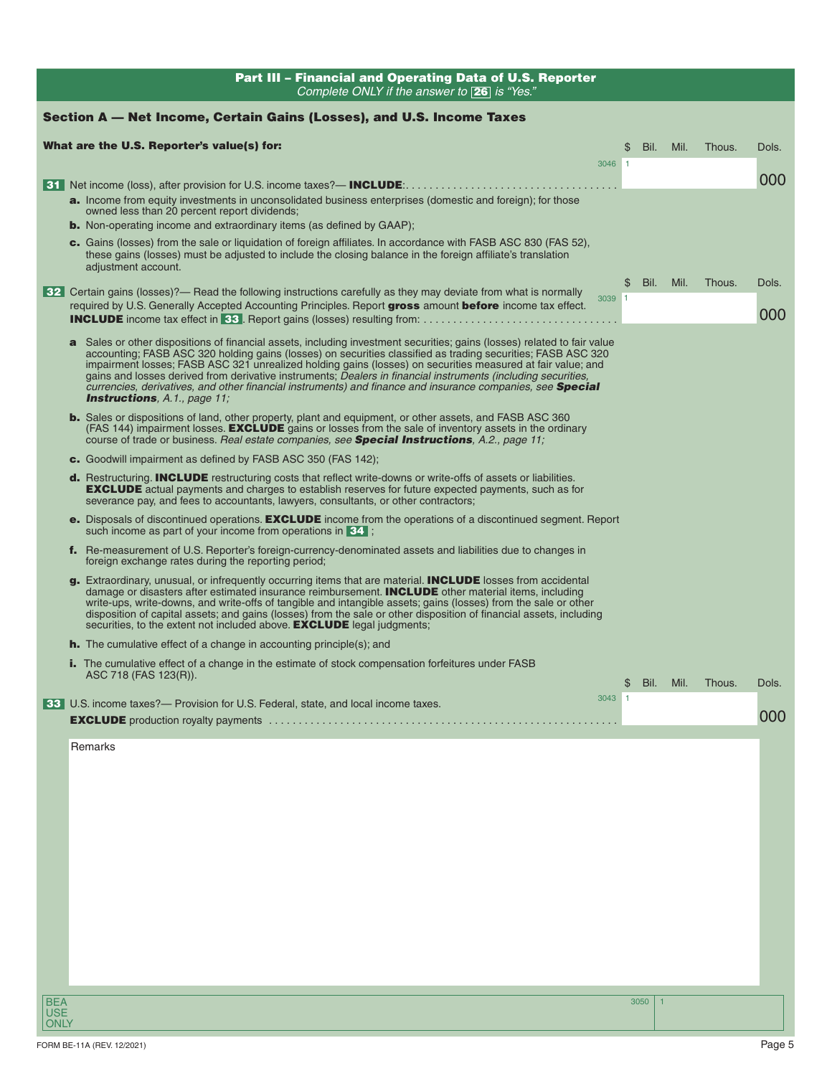| Part III - Financial and Operating Data of U.S. Reporter<br>Complete ONLY if the answer to <b>26</b> is "Yes."                                                                                                                                                                                                                                                                                                                                                                                                                                                                                                                                                                                                                                           |                      |           |        |              |
|----------------------------------------------------------------------------------------------------------------------------------------------------------------------------------------------------------------------------------------------------------------------------------------------------------------------------------------------------------------------------------------------------------------------------------------------------------------------------------------------------------------------------------------------------------------------------------------------------------------------------------------------------------------------------------------------------------------------------------------------------------|----------------------|-----------|--------|--------------|
| Section A — Net Income, Certain Gains (Losses), and U.S. Income Taxes                                                                                                                                                                                                                                                                                                                                                                                                                                                                                                                                                                                                                                                                                    |                      |           |        |              |
| What are the U.S. Reporter's value(s) for:                                                                                                                                                                                                                                                                                                                                                                                                                                                                                                                                                                                                                                                                                                               | \$                   | Bil. Mil. | Thous. | Dols.        |
| 3046 1                                                                                                                                                                                                                                                                                                                                                                                                                                                                                                                                                                                                                                                                                                                                                   |                      |           |        | 000          |
| a. Income from equity investments in unconsolidated business enterprises (domestic and foreign); for those<br>owned less than 20 percent report dividends;<br><b>b.</b> Non-operating income and extraordinary items (as defined by GAAP);                                                                                                                                                                                                                                                                                                                                                                                                                                                                                                               |                      |           |        |              |
| c. Gains (losses) from the sale or liquidation of foreign affiliates. In accordance with FASB ASC 830 (FAS 52),<br>these gains (losses) must be adjusted to include the closing balance in the foreign affiliate's translation<br>adjustment account.                                                                                                                                                                                                                                                                                                                                                                                                                                                                                                    |                      |           |        |              |
| 32 Certain gains (losses)?— Read the following instructions carefully as they may deviate from what is normally<br>3039 1<br>required by U.S. Generally Accepted Accounting Principles. Report gross amount before income tax effect.                                                                                                                                                                                                                                                                                                                                                                                                                                                                                                                    | \$                   | Bil. Mil. | Thous. | Dols.<br>000 |
| a Sales or other dispositions of financial assets, including investment securities; gains (losses) related to fair value<br>accounting; FASB ASC 320 holding gains (losses) on securities classified as trading securities; FASB ASC 320<br>impairment losses; FASB ASC 321 unrealized holding gains (losses) on securities measured at fair value; and<br>gains and losses derived from derivative instruments; Dealers in financial instruments (including securities,<br>currencies, derivatives, and other financial instruments) and finance and insurance companies, see <b>Special</b><br><b>Instructions</b> , A.1., page 11;<br><b>b.</b> Sales or dispositions of land, other property, plant and equipment, or other assets, and FASB ASC 360 |                      |           |        |              |
| (FAS 144) impairment losses. <b>EXCLUDE</b> gains or losses from the sale of inventory assets in the ordinary<br>course of trade or business. Real estate companies, see <b>Special Instructions</b> , A.2., page 11;                                                                                                                                                                                                                                                                                                                                                                                                                                                                                                                                    |                      |           |        |              |
| c. Goodwill impairment as defined by FASB ASC 350 (FAS 142);<br><b>d.</b> Restructuring. <b>INCLUDE</b> restructuring costs that reflect write-downs or write-offs of assets or liabilities.<br><b>EXCLUDE</b> actual payments and charges to establish reserves for future expected payments, such as for<br>severance pay, and fees to accountants, lawyers, consultants, or other contractors;                                                                                                                                                                                                                                                                                                                                                        |                      |           |        |              |
| e. Disposals of discontinued operations. <b>EXCLUDE</b> income from the operations of a discontinued segment. Report<br>such income as part of your income from operations in 34;                                                                                                                                                                                                                                                                                                                                                                                                                                                                                                                                                                        |                      |           |        |              |
| f. Re-measurement of U.S. Reporter's foreign-currency-denominated assets and liabilities due to changes in<br>foreign exchange rates during the reporting period;                                                                                                                                                                                                                                                                                                                                                                                                                                                                                                                                                                                        |                      |           |        |              |
| g. Extraordinary, unusual, or infrequently occurring items that are material. INCLUDE losses from accidental<br>damage or disasters after estimated insurance reimbursement. <b>INCLUDE</b> other material items, including<br>write-ups, write-downs, and write-offs of tangible and intangible assets; gains (losses) from the sale or other<br>disposition of capital assets; and gains (losses) from the sale or other disposition of financial assets, including<br>securities, to the extent not included above. <b>EXCLUDE</b> legal judgments;                                                                                                                                                                                                   |                      |           |        |              |
| <b>h.</b> The cumulative effect of a change in accounting principle(s); and                                                                                                                                                                                                                                                                                                                                                                                                                                                                                                                                                                                                                                                                              |                      |           |        |              |
| <b>i.</b> The cumulative effect of a change in the estimate of stock compensation forfeitures under FASB<br>ASC 718 (FAS 123(R)).                                                                                                                                                                                                                                                                                                                                                                                                                                                                                                                                                                                                                        | \$<br>Bil. Mil.      |           | Thous. | DOIS.        |
| 3043<br>33 U.S. income taxes?— Provision for U.S. Federal, state, and local income taxes.                                                                                                                                                                                                                                                                                                                                                                                                                                                                                                                                                                                                                                                                |                      |           |        | 000          |
|                                                                                                                                                                                                                                                                                                                                                                                                                                                                                                                                                                                                                                                                                                                                                          |                      |           |        |              |
| Remarks                                                                                                                                                                                                                                                                                                                                                                                                                                                                                                                                                                                                                                                                                                                                                  |                      |           |        |              |
|                                                                                                                                                                                                                                                                                                                                                                                                                                                                                                                                                                                                                                                                                                                                                          |                      |           |        |              |
|                                                                                                                                                                                                                                                                                                                                                                                                                                                                                                                                                                                                                                                                                                                                                          |                      |           |        |              |
|                                                                                                                                                                                                                                                                                                                                                                                                                                                                                                                                                                                                                                                                                                                                                          |                      |           |        |              |
|                                                                                                                                                                                                                                                                                                                                                                                                                                                                                                                                                                                                                                                                                                                                                          |                      |           |        |              |
|                                                                                                                                                                                                                                                                                                                                                                                                                                                                                                                                                                                                                                                                                                                                                          |                      |           |        |              |
|                                                                                                                                                                                                                                                                                                                                                                                                                                                                                                                                                                                                                                                                                                                                                          |                      |           |        |              |
|                                                                                                                                                                                                                                                                                                                                                                                                                                                                                                                                                                                                                                                                                                                                                          |                      |           |        |              |
| <b>BEA</b><br><b>USE</b><br><b>ONLY</b>                                                                                                                                                                                                                                                                                                                                                                                                                                                                                                                                                                                                                                                                                                                  | 3050<br>$\mathbf{1}$ |           |        |              |
|                                                                                                                                                                                                                                                                                                                                                                                                                                                                                                                                                                                                                                                                                                                                                          |                      |           |        |              |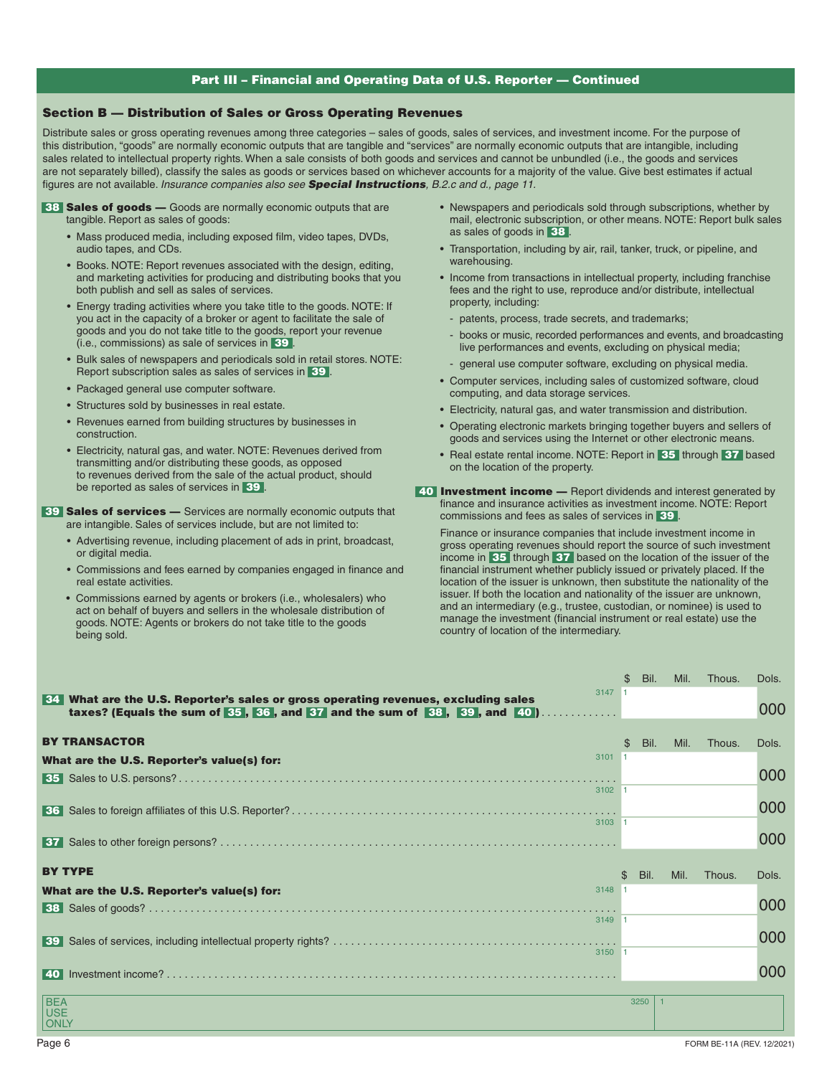## , Part III – Financial and Operating Data of U.S. Reporter — Continued

### Section B — Distribution of Sales or Gross Operating Revenues

Distribute sales or gross operating revenues among three categories – sales of goods, sales of services, and investment income. For the purpose of this distribution, "goods" are normally economic outputs that are tangible and "services" are normally economic outputs that are intangible, including sales related to intellectual property rights. When a sale consists of both goods and services and cannot be unbundled (i.e., the goods and services are not separately billed), classify the sales as goods or services based on whichever accounts for a majority of the value. Give best estimates if actual figures are not available. *Insurance companies also see Special Instructions, B.2.c and d., page 11.* 

- 38 Sales of goods Goods are normally economic outputs that are tangible. Report as sales of goods:
	- Mass produced media, including exposed film, video tapes, DVDs, audio tapes, and CDs.
	- Books. NOTE: Report revenues associated with the design, editing, and marketing activities for producing and distributing books that you both publish and sell as sales of services.
	- Energy trading activities where you take title to the goods. NOTE: If you act in the capacity of a broker or agent to facilitate the sale of goods and you do not take title to the goods, report your revenue (i.e., commissions) as sale of services in 39 .
	- Bulk sales of newspapers and periodicals sold in retail stores. NOTE: Report subscription sales as sales of services in 39.
	- Packaged general use computer software.
	- Structures sold by businesses in real estate.
	- Revenues earned from building structures by businesses in construction.
	- Electricity, natural gas, and water. NOTE: Revenues derived from transmitting and/or distributing these goods, as opposed to revenues derived from the sale of the actual product, should be reported as sales of services in 39.

**39 Sales of services —** Services are normally economic outputs that are intangible. Sales of services include, but are not limited to:

- Advertising revenue, including placement of ads in print, broadcast, or digital media.
- Commissions and fees earned by companies engaged in finance and real estate activities.
- Commissions earned by agents or brokers (i.e., wholesalers) who act on behalf of buyers and sellers in the wholesale distribution of goods. NOTE: Agents or brokers do not take title to the goods being sold.
- Newspapers and periodicals sold through subscriptions, whether by mail, electronic subscription, or other means. NOTE: Report bulk sales as sales of goods in 38 .
- Transportation, including by air, rail, tanker, truck, or pipeline, and warehousing.
- Income from transactions in intellectual property, including franchise fees and the right to use, reproduce and/or distribute, intellectual property, including:
- patents, process, trade secrets, and trademarks;
- books or music, recorded performances and events, and broadcasting live performances and events, excluding on physical media;
- general use computer software, excluding on physical media.
- Computer services, including sales of customized software, cloud computing, and data storage services.
- Electricity, natural gas, and water transmission and distribution.
- Operating electronic markets bringing together buyers and sellers of goods and services using the Internet or other electronic means.
- Real estate rental income. NOTE: Report in 35 through 37 based on the location of the property.
- 40 Investment income Report dividends and interest generated by finance and insurance activities as investment income. NOTE: Report commissions and fees as sales of services in 39

Finance or insurance companies that include investment income in gross operating revenues should report the source of such investment income in 35 through 37 based on the location of the issuer of the financial instrument whether publicly issued or privately placed. If the location of the issuer is unknown, then substitute the nationality of the issuer. If both the location and nationality of the issuer are unknown, and an intermediary (e.g., trustee, custodian, or nominee) is used to manage the investment (financial instrument or real estate) use the country of location of the intermediary.

|                                                                                    |          | \$<br>Bil. | Mil. | Thous. | Dols. |
|------------------------------------------------------------------------------------|----------|------------|------|--------|-------|
| 34 What are the U.S. Reporter's sales or gross operating revenues, excluding sales | 3147 1   |            |      |        |       |
| taxes? (Equals the sum of 35, 36, and 37 and the sum of 38, 39, and 40)            |          |            |      |        | 000   |
|                                                                                    |          |            |      |        |       |
| <b>BY TRANSACTOR</b>                                                               |          | \$<br>Bil. | Mil. | Thous. | Dols. |
| What are the U.S. Reporter's value(s) for:                                         | 3101 1   |            |      |        |       |
|                                                                                    |          |            |      |        | 000   |
|                                                                                    | 3102 1   |            |      |        |       |
|                                                                                    |          |            |      |        | 000   |
|                                                                                    | 3103 1   |            |      |        |       |
|                                                                                    |          |            |      |        | 000   |
|                                                                                    |          |            |      |        |       |
| <b>BY TYPE</b>                                                                     |          | \$<br>Bil. | Mil. | Thous. | Dols. |
|                                                                                    |          |            |      |        |       |
| What are the U.S. Reporter's value(s) for:                                         | 3148 1   |            |      |        |       |
|                                                                                    |          |            |      |        | 000   |
|                                                                                    | 3149 1   |            |      |        |       |
|                                                                                    |          |            |      |        |       |
| 39                                                                                 | $3150$ 1 |            |      |        | 000   |
|                                                                                    |          |            |      |        |       |
|                                                                                    |          |            |      |        | 000   |
|                                                                                    |          | 3250<br>1  |      |        |       |
| <b>BEA</b><br><b>USE</b><br><b>ONLY</b>                                            |          |            |      |        |       |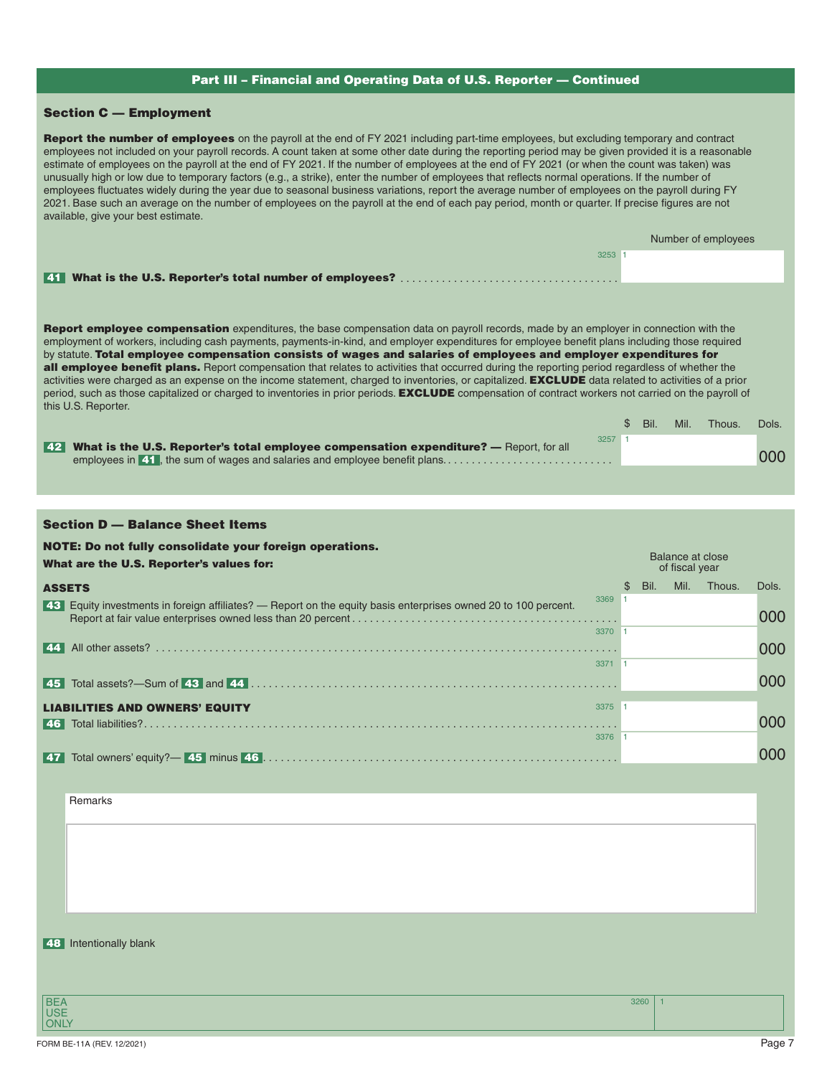## Part III – Financial and Operating Data of U.S. Reporter — Continued

# Section C — Employment

| Report the number of employees on the payroll at the end of FY 2021 including part-time employees, but excluding temporary and contract<br>employees not included on your payroll records. A count taken at some other date during the reporting period may be given provided it is a reasonable<br>estimate of employees on the payroll at the end of FY 2021. If the number of employees at the end of FY 2021 (or when the count was taken) was<br>unusually high or low due to temporary factors (e.g., a strike), enter the number of employees that reflects normal operations. If the number of<br>employees fluctuates widely during the year due to seasonal business variations, report the average number of employees on the payroll during FY<br>2021. Base such an average on the number of employees on the payroll at the end of each pay period, month or quarter. If precise figures are not<br>available, give your best estimate. |                      |                  |                     |       |
|-------------------------------------------------------------------------------------------------------------------------------------------------------------------------------------------------------------------------------------------------------------------------------------------------------------------------------------------------------------------------------------------------------------------------------------------------------------------------------------------------------------------------------------------------------------------------------------------------------------------------------------------------------------------------------------------------------------------------------------------------------------------------------------------------------------------------------------------------------------------------------------------------------------------------------------------------------|----------------------|------------------|---------------------|-------|
|                                                                                                                                                                                                                                                                                                                                                                                                                                                                                                                                                                                                                                                                                                                                                                                                                                                                                                                                                       |                      |                  | Number of employees |       |
| 3253 1                                                                                                                                                                                                                                                                                                                                                                                                                                                                                                                                                                                                                                                                                                                                                                                                                                                                                                                                                |                      |                  |                     |       |
| <b>Report employee compensation</b> expenditures, the base compensation data on payroll records, made by an employer in connection with the<br>employment of workers, including cash payments, payments-in-kind, and employer expenditures for employee benefit plans including those required<br>by statute. Total employee compensation consists of wages and salaries of employees and employer expenditures for<br>all employee benefit plans. Report compensation that relates to activities that occurred during the reporting period regardless of whether the<br>activities were charged as an expense on the income statement, charged to inventories, or capitalized. EXCLUDE data related to activities of a prior<br>period, such as those capitalized or charged to inventories in prior periods. <b>EXCLUDE</b> compensation of contract workers not carried on the payroll of<br>this U.S. Reporter.                                   |                      |                  |                     |       |
| $3257$ 1                                                                                                                                                                                                                                                                                                                                                                                                                                                                                                                                                                                                                                                                                                                                                                                                                                                                                                                                              | Bil.<br>\$           | Mil.             | Thous.              | Dols. |
| 42 What is the U.S. Reporter's total employee compensation expenditure? — Report, for all<br>employees in <b>41</b> , the sum of wages and salaries and employee benefit plans                                                                                                                                                                                                                                                                                                                                                                                                                                                                                                                                                                                                                                                                                                                                                                        |                      |                  |                     | 000   |
|                                                                                                                                                                                                                                                                                                                                                                                                                                                                                                                                                                                                                                                                                                                                                                                                                                                                                                                                                       |                      |                  |                     |       |
| <b>Section D - Balance Sheet Items</b>                                                                                                                                                                                                                                                                                                                                                                                                                                                                                                                                                                                                                                                                                                                                                                                                                                                                                                                |                      |                  |                     |       |
| NOTE: Do not fully consolidate your foreign operations.                                                                                                                                                                                                                                                                                                                                                                                                                                                                                                                                                                                                                                                                                                                                                                                                                                                                                               |                      | Balance at close |                     |       |
| What are the U.S. Reporter's values for:                                                                                                                                                                                                                                                                                                                                                                                                                                                                                                                                                                                                                                                                                                                                                                                                                                                                                                              |                      | of fiscal year   |                     |       |
|                                                                                                                                                                                                                                                                                                                                                                                                                                                                                                                                                                                                                                                                                                                                                                                                                                                                                                                                                       |                      |                  |                     |       |
| <b>ASSETS</b><br>3369 1                                                                                                                                                                                                                                                                                                                                                                                                                                                                                                                                                                                                                                                                                                                                                                                                                                                                                                                               | Bil.<br>$\mathbb{S}$ | Mil.             | Thous.              | Dols. |
| 43 Equity investments in foreign affiliates? - Report on the equity basis enterprises owned 20 to 100 percent.                                                                                                                                                                                                                                                                                                                                                                                                                                                                                                                                                                                                                                                                                                                                                                                                                                        |                      |                  |                     | 000   |
| 3370 1<br>  44                                                                                                                                                                                                                                                                                                                                                                                                                                                                                                                                                                                                                                                                                                                                                                                                                                                                                                                                        |                      |                  |                     | 000   |
| 3371 1                                                                                                                                                                                                                                                                                                                                                                                                                                                                                                                                                                                                                                                                                                                                                                                                                                                                                                                                                |                      |                  |                     |       |
|                                                                                                                                                                                                                                                                                                                                                                                                                                                                                                                                                                                                                                                                                                                                                                                                                                                                                                                                                       |                      |                  |                     | 000   |
| 3375 1<br>LIABILITIES AND OWNERS' EQUITY                                                                                                                                                                                                                                                                                                                                                                                                                                                                                                                                                                                                                                                                                                                                                                                                                                                                                                              |                      |                  |                     |       |
| 3376                                                                                                                                                                                                                                                                                                                                                                                                                                                                                                                                                                                                                                                                                                                                                                                                                                                                                                                                                  |                      |                  |                     | 000   |
|                                                                                                                                                                                                                                                                                                                                                                                                                                                                                                                                                                                                                                                                                                                                                                                                                                                                                                                                                       |                      |                  |                     | 000   |
|                                                                                                                                                                                                                                                                                                                                                                                                                                                                                                                                                                                                                                                                                                                                                                                                                                                                                                                                                       |                      |                  |                     |       |
| Remarks                                                                                                                                                                                                                                                                                                                                                                                                                                                                                                                                                                                                                                                                                                                                                                                                                                                                                                                                               |                      |                  |                     |       |
|                                                                                                                                                                                                                                                                                                                                                                                                                                                                                                                                                                                                                                                                                                                                                                                                                                                                                                                                                       |                      |                  |                     |       |
|                                                                                                                                                                                                                                                                                                                                                                                                                                                                                                                                                                                                                                                                                                                                                                                                                                                                                                                                                       |                      |                  |                     |       |
|                                                                                                                                                                                                                                                                                                                                                                                                                                                                                                                                                                                                                                                                                                                                                                                                                                                                                                                                                       |                      |                  |                     |       |
|                                                                                                                                                                                                                                                                                                                                                                                                                                                                                                                                                                                                                                                                                                                                                                                                                                                                                                                                                       |                      |                  |                     |       |
|                                                                                                                                                                                                                                                                                                                                                                                                                                                                                                                                                                                                                                                                                                                                                                                                                                                                                                                                                       |                      |                  |                     |       |
| 48 Intentionally blank                                                                                                                                                                                                                                                                                                                                                                                                                                                                                                                                                                                                                                                                                                                                                                                                                                                                                                                                |                      |                  |                     |       |
| <b>BEA</b><br><b>USE</b>                                                                                                                                                                                                                                                                                                                                                                                                                                                                                                                                                                                                                                                                                                                                                                                                                                                                                                                              | 3260                 |                  |                     |       |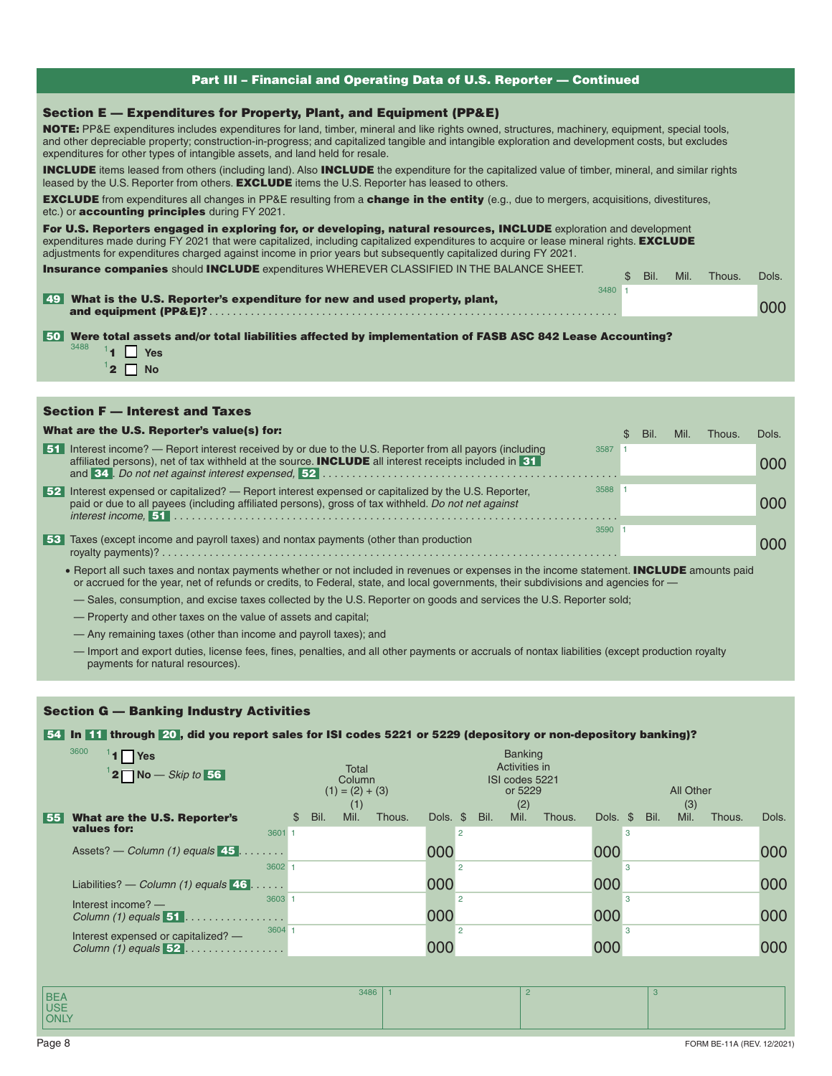| Part III - Financial and Operating Data of U.S. Reporter - Continued                                                                                                                                                                                                                                                                                                                                                                                                                                                                                                                                                                                                                                                                                                                                                                                                                                                                                          |        |               |      |      |        |       |  |  |  |
|---------------------------------------------------------------------------------------------------------------------------------------------------------------------------------------------------------------------------------------------------------------------------------------------------------------------------------------------------------------------------------------------------------------------------------------------------------------------------------------------------------------------------------------------------------------------------------------------------------------------------------------------------------------------------------------------------------------------------------------------------------------------------------------------------------------------------------------------------------------------------------------------------------------------------------------------------------------|--------|---------------|------|------|--------|-------|--|--|--|
| Section E — Expenditures for Property, Plant, and Equipment (PP&E)<br><b>NOTE:</b> PP&E expenditures includes expenditures for land, timber, mineral and like rights owned, structures, machinery, equipment, special tools,<br>and other depreciable property; construction-in-progress; and capitalized tangible and intangible exploration and development costs, but excludes<br>expenditures for other types of intangible assets, and land held for resale.<br><b>INCLUDE</b> items leased from others (including land). Also <b>INCLUDE</b> the expenditure for the capitalized value of timber, mineral, and similar rights<br>leased by the U.S. Reporter from others. <b>EXCLUDE</b> items the U.S. Reporter has leased to others.<br><b>EXCLUDE</b> from expenditures all changes in PP&E resulting from a <b>change in the entity</b> (e.g., due to mergers, acquisitions, divestitures,<br>etc.) or <b>accounting principles</b> during FY 2021. |        |               |      |      |        |       |  |  |  |
| For U.S. Reporters engaged in exploring for, or developing, natural resources, INCLUDE exploration and development<br>expenditures made during FY 2021 that were capitalized, including capitalized expenditures to acquire or lease mineral rights. <b>EXCLUDE</b><br>adjustments for expenditures charged against income in prior years but subsequently capitalized during FY 2021.<br><b>Insurance companies should INCLUDE expenditures WHEREVER CLASSIFIED IN THE BALANCE SHEET.</b><br>What is the U.S. Reporter's expenditure for new and used property, plant,<br>l 49 I                                                                                                                                                                                                                                                                                                                                                                             | 3480 1 | $\mathcal{S}$ | Bil. | Mil. | Thous. | Dols. |  |  |  |
|                                                                                                                                                                                                                                                                                                                                                                                                                                                                                                                                                                                                                                                                                                                                                                                                                                                                                                                                                               |        |               |      |      |        | 000   |  |  |  |
| Were total assets and/or total liabilities affected by implementation of FASB ASC 842 Lease Accounting?<br>l 50 l<br>3488<br>$1$ $\Box$ Yes<br>$12 \Box$ No                                                                                                                                                                                                                                                                                                                                                                                                                                                                                                                                                                                                                                                                                                                                                                                                   |        |               |      |      |        |       |  |  |  |
|                                                                                                                                                                                                                                                                                                                                                                                                                                                                                                                                                                                                                                                                                                                                                                                                                                                                                                                                                               |        |               |      |      |        |       |  |  |  |
| <b>Section F - Interest and Taxes</b>                                                                                                                                                                                                                                                                                                                                                                                                                                                                                                                                                                                                                                                                                                                                                                                                                                                                                                                         |        |               |      |      |        |       |  |  |  |

|        | What are the U.S. Reporter's value(s) for:                                                                                                                                                                           |      | SS. | Bil. | Mil. | Thous. | Dols. |
|--------|----------------------------------------------------------------------------------------------------------------------------------------------------------------------------------------------------------------------|------|-----|------|------|--------|-------|
| l 51 l | Interest income? — Report interest received by or due to the U.S. Reporter from all payors (including<br>affiliated persons), net of tax withheld at the source. <b>INCLUDE</b> all interest receipts included in 31 | 3587 |     |      |      |        | 000   |
| 52     | Interest expensed or capitalized? — Report interest expensed or capitalized by the U.S. Reporter,<br>paid or due to all payees (including affiliated persons), gross of tax withheld. Do not net against             | 3588 |     |      |      |        | 000   |
| l 53 l | Taxes (except income and payroll taxes) and nontax payments (other than production                                                                                                                                   | 3590 |     |      |      |        | 000   |
|        | • Report all such taxes and nontax payments whether or not included in revenues or expenses in the income statement. INCLUDE amounts paid                                                                            |      |     |      |      |        |       |

or accrued for the year, net of refunds or credits, to Federal, state, and local governments, their subdivisions and agencies for —

— Sales, consumption, and excise taxes collected by the U.S. Reporter on goods and services the U.S. Reporter sold;

— Property and other taxes on the value of assets and capital;

Section G — Banking Industry Activities

— Any remaining taxes (other than income and payroll taxes); and

— Import and export duties, license fees, fines, penalties, and all other payments or accruals of nontax liabilities (except production royalty payments for natural resources).

| <b>54 In 11 through 20, did you report sales for ISI codes 5221 or 5229 (depository or non-depository banking)?</b> |                                             |                                                   |                                             |
|---------------------------------------------------------------------------------------------------------------------|---------------------------------------------|---------------------------------------------------|---------------------------------------------|
| 3600<br>$1$ Yes                                                                                                     |                                             | <b>Banking</b>                                    |                                             |
| $12$ No – Skip to 56                                                                                                | Total<br>Column<br>$(1) = (2) + (3)$<br>(1) | Activities in<br>ISI codes 5221<br>or 5229<br>(2) | All Other<br>(3)                            |
| What are the U.S. Reporter's<br>  55  <br>values for:                                                               | Mil.<br>Bil.<br>Thous.<br>$\mathbb{S}^-$    | Mil.<br>Dols. \$<br>Bil.<br>Thous.                | Mil.<br>Dols.<br>Dols. \$<br>Bil.<br>Thous. |
| Assets? — Column (1) equals $45$                                                                                    | 3601 1<br>3602                              | $\overline{2}$<br>000<br>$\overline{2}$           | 3<br>000<br>000<br>3                        |
| Liabilities? — Column (1) equals $\overline{46}$                                                                    |                                             | 000                                               | 000<br>000                                  |
| Interest income? -<br>Column $(1)$ equals $51$                                                                      | 3603<br>3604                                | $\overline{2}$<br>000<br>$\overline{2}$           | 3<br>000<br>000<br>3                        |
| Interest expensed or capitalized? -<br>Column (1) equals $52$                                                       |                                             | 000                                               | 000<br>000                                  |
| <b>BEA</b>                                                                                                          | 3486                                        | $\overline{2}$                                    | 3                                           |

USE **ONLY**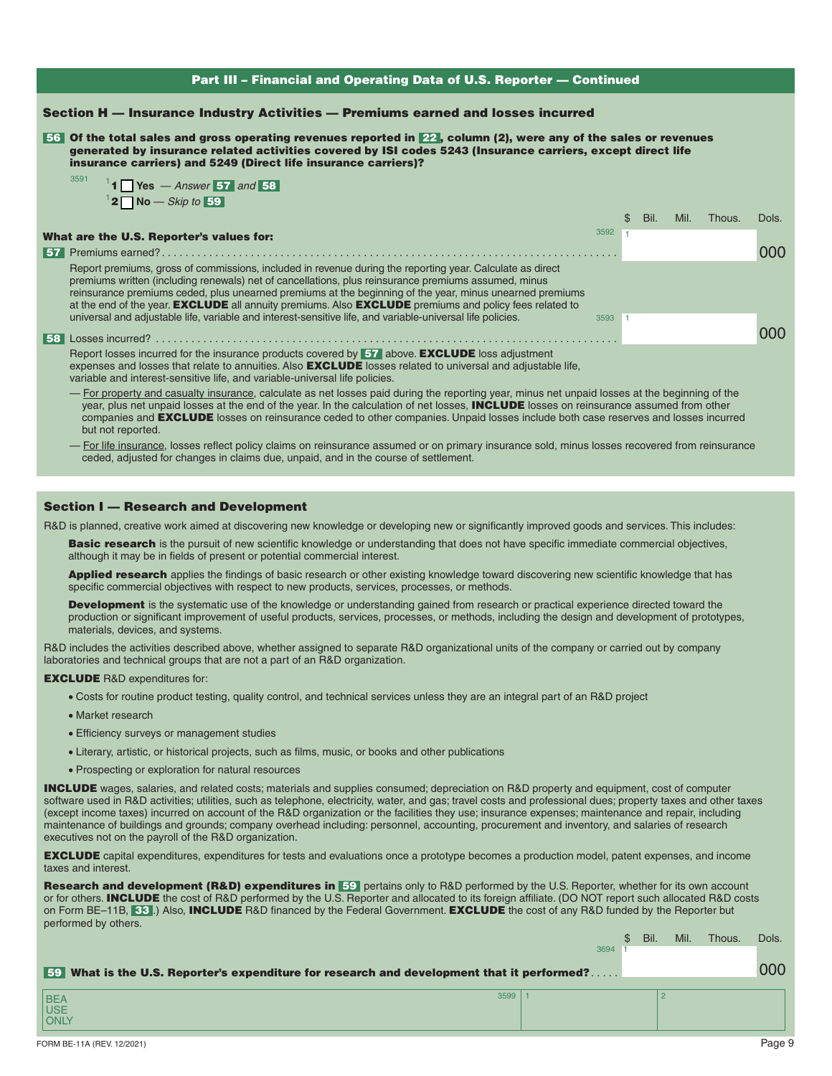## Section H — Insurance Industry Activities — Premiums earned and losses incurred

 56 Of the total sales and gross operating revenues reported in 22 , column (2), were any of the sales or revenues generated by insurance related activities covered by ISI codes 5243 (Insurance carriers, except direct life insurance carriers) and 5249 (Direct life insurance carriers)?

| 3591 | $1$ 1 $\blacksquare$ Yes $-$ Answer 57 and 58 |
|------|-----------------------------------------------|
|      | $1$ 2 Mo – Skip to 59                         |

|                                                                                                                                                                                                                                                                                                                                                                                                                                                       |      | Bil. | Mil. | Thous. | Dols. |
|-------------------------------------------------------------------------------------------------------------------------------------------------------------------------------------------------------------------------------------------------------------------------------------------------------------------------------------------------------------------------------------------------------------------------------------------------------|------|------|------|--------|-------|
| What are the U.S. Reporter's values for:                                                                                                                                                                                                                                                                                                                                                                                                              | 3592 |      |      |        |       |
|                                                                                                                                                                                                                                                                                                                                                                                                                                                       |      |      |      |        | 000   |
| Report premiums, gross of commissions, included in revenue during the reporting year. Calculate as direct<br>premiums written (including renewals) net of cancellations, plus reinsurance premiums assumed, minus<br>reinsurance premiums ceded, plus unearned premiums at the beginning of the year, minus unearned premiums<br>at the end of the year. <b>EXCLUDE</b> all annuity premiums. Also <b>EXCLUDE</b> premiums and policy fees related to |      |      |      |        |       |
| universal and adjustable life, variable and interest-sensitive life, and variable-universal life policies.                                                                                                                                                                                                                                                                                                                                            | 3593 |      |      |        | റററ   |
| Report losses incurred for the insurance products covered by 57 above. EXCLUDE loss adjustment                                                                                                                                                                                                                                                                                                                                                        |      |      |      |        |       |

expenses and losses that relate to annuities. Also **EXCLUDE** losses related to universal and adjustable life, variable and interest-sensitive life, and variable-universal life policies.

- For property and casualty insurance, calculate as net losses paid during the reporting year, minus net unpaid losses at the beginning of the year, plus net unpaid losses at the end of the year. In the calculation of net losses, INCLUDE losses on reinsurance assumed from other companies and **EXCLUDE** losses on reinsurance ceded to other companies. Unpaid losses include both case reserves and losses incurred but not reported.

— For life insurance, losses reflect policy claims on reinsurance assumed or on primary insurance sold, minus losses recovered from reinsurance ceded, adjusted for changes in claims due, unpaid, and in the course of settlement.

## Section I — Research and Development

R&D is planned, creative work aimed at discovering new knowledge or developing new or significantly improved goods and services. This includes:

Basic research is the pursuit of new scientific knowledge or understanding that does not have specific immediate commercial objectives, although it may be in fields of present or potential commercial interest.

Applied research applies the findings of basic research or other existing knowledge toward discovering new scientific knowledge that has specific commercial objectives with respect to new products, services, processes, or methods.

Development is the systematic use of the knowledge or understanding gained from research or practical experience directed toward the production or significant improvement of useful products, services, processes, or methods, including the design and development of prototypes, materials, devices, and systems.

R&D includes the activities described above, whether assigned to separate R&D organizational units of the company or carried out by company laboratories and technical groups that are not a part of an R&D organization.

#### EXCLUDE R&D expenditures for:

- Costs for routine product testing, quality control, and technical services unless they are an integral part of an R&D project
- Market research
- Efficiency surveys or management studies
- Literary, artistic, or historical projects, such as films, music, or books and other publications
- Prospecting or exploration for natural resources

**INCLUDE** wages, salaries, and related costs; materials and supplies consumed; depreciation on R&D property and equipment, cost of computer software used in R&D activities; utilities, such as telephone, electricity, water, and gas; travel costs and professional dues; property taxes and other taxes (except income taxes) incurred on account of the R&D organization or the facilities they use; insurance expenses; maintenance and repair, including maintenance of buildings and grounds; company overhead including: personnel, accounting, procurement and inventory, and salaries of research executives not on the payroll of the R&D organization.

**EXCLUDE** capital expenditures, expenditures for tests and evaluations once a prototype becomes a production model, patent expenses, and income taxes and interest.

Research and development (R&D) expenditures in 59 pertains only to R&D performed by the U.S. Reporter, whether for its own account or for others. INCLUDE the cost of R&D performed by the U.S. Reporter and allocated to its foreign affiliate. (DO NOT report such allocated R&D costs on Form BE–11B, 33.) Also, INCLUDE R&D financed by the Federal Government. EXCLUDE the cost of any R&D funded by the Reporter but performed by others.

|                                                                                                   |      | Bil. | Mil. | Thous. | Dols. |
|---------------------------------------------------------------------------------------------------|------|------|------|--------|-------|
|                                                                                                   | 3694 |      |      |        |       |
| <b>59</b> What is the U.S. Reporter's expenditure for research and development that it performed? |      |      |      |        | 000   |
| 3599<br>BEA<br>USE<br>ONLY                                                                        |      |      |      |        |       |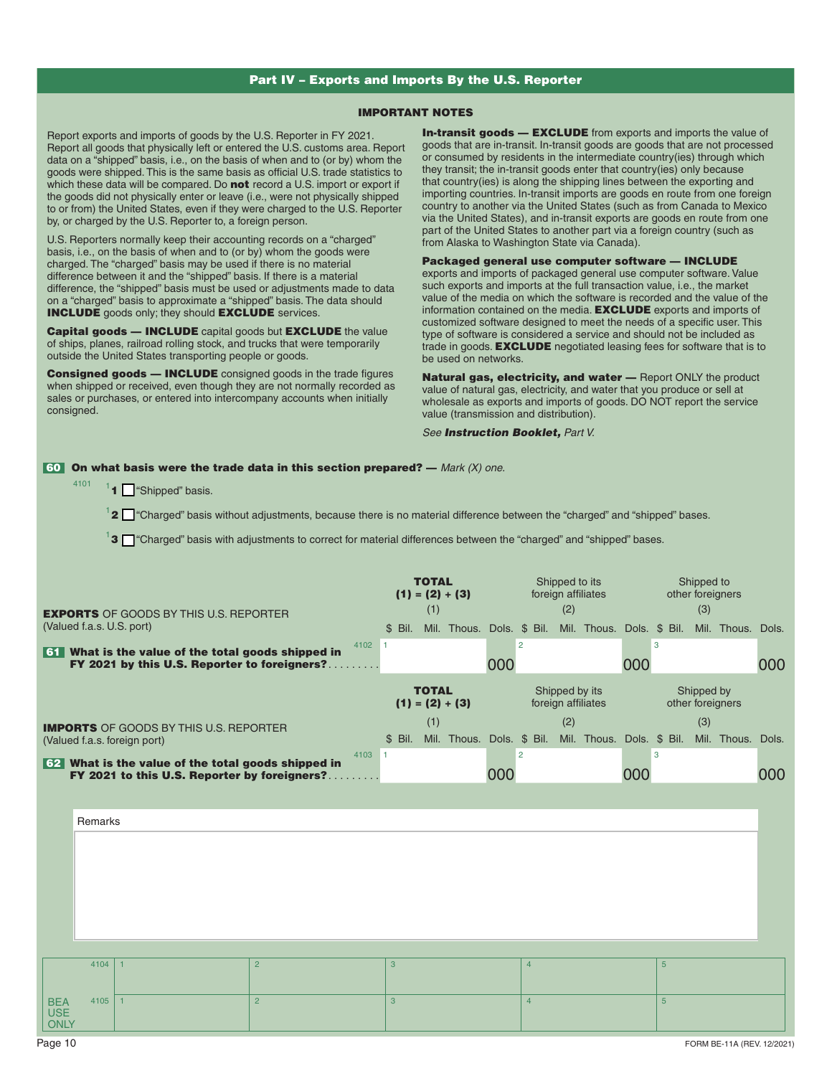## Part IV – Exports and Imports By the U.S. Reporter

## IMPORTANT NOTES

Report exports and imports of goods by the U.S. Reporter in FY 2021. Report all goods that physically left or entered the U.S. customs area. Report data on a "shipped" basis, i.e., on the basis of when and to (or by) whom the goods were shipped. This is the same basis as official U.S. trade statistics to which these data will be compared. Do not record a U.S. import or export if the goods did not physically enter or leave (i.e., were not physically shipped to or from) the United States, even if they were charged to the U.S. Reporter by, or charged by the U.S. Reporter to, a foreign person.

U.S. Reporters normally keep their accounting records on a "charged" basis, i.e., on the basis of when and to (or by) whom the goods were charged. The "charged" basis may be used if there is no material difference between it and the "shipped" basis. If there is a material difference, the "shipped" basis must be used or adjustments made to data on a "charged" basis to approximate a "shipped" basis. The data should **INCLUDE** goods only; they should **EXCLUDE** services.

Capital goods - INCLUDE capital goods but EXCLUDE the value of ships, planes, railroad rolling stock, and trucks that were temporarily outside the United States transporting people or goods.

Consigned goods - INCLUDE consigned goods in the trade figures when shipped or received, even though they are not normally recorded as sales or purchases, or entered into intercompany accounts when initially consigned.

**In-transit goods - EXCLUDE** from exports and imports the value of goods that are in-transit. In-transit goods are goods that are not processed or consumed by residents in the intermediate country(ies) through which they transit; the in-transit goods enter that country(ies) only because that country(ies) is along the shipping lines between the exporting and importing countries. In-transit imports are goods en route from one foreign country to another via the United States (such as from Canada to Mexico via the United States), and in-transit exports are goods en route from one part of the United States to another part via a foreign country (such as from Alaska to Washington State via Canada).

Packaged general use computer software — INCLUDE exports and imports of packaged general use computer software. Value such exports and imports at the full transaction value, i.e., the market value of the media on which the software is recorded and the value of the information contained on the media. EXCLUDE exports and imports of customized software designed to meet the needs of a specific user. This type of software is considered a service and should not be included as trade in goods. **EXCLUDE** negotiated leasing fees for software that is to be used on networks.

Natural gas, electricity, and water - Report ONLY the product value of natural gas, electricity, and water that you produce or sell at wholesale as exports and imports of goods. DO NOT report the service value (transmission and distribution).

*See Instruction Booklet, Part V.* 

#### 60 On what basis were the trade data in this section prepared? — *Mark (X) one.*

 $1$  1  $\Box$  "Shipped" basis.

4101

 $1$  2  $\Box$  "Charged" basis without adjustments, because there is no material difference between the "charged" and "shipped" bases.

 $1$ 3  $\Box$  "Charged" basis with adjustments to correct for material differences between the "charged" and "shipped" bases.

| <b>EXPORTS OF GOODS BY THIS U.S. REPORTER</b>                                                              |           | <b>TOTAL</b><br>$(1) = (2) + (3)$<br>(1) |     |             |                       |                                      | Shipped to its<br>foreign affiliates<br>(2) |     |                           |     | Shipped to<br>other foreigners<br>(3) |     |                   |     |  |  |
|------------------------------------------------------------------------------------------------------------|-----------|------------------------------------------|-----|-------------|-----------------------|--------------------------------------|---------------------------------------------|-----|---------------------------|-----|---------------------------------------|-----|-------------------|-----|--|--|
| (Valued f.a.s. U.S. port)                                                                                  |           | \$ Bil.                                  |     | Mil. Thous. | Dols.                 |                                      | $$$ Bil.                                    |     | Mil. Thous. Dols. \$ Bil. |     |                                       |     | Mil. Thous. Dols. |     |  |  |
| What is the value of the total goods shipped in<br>l 61 I<br>FY 2021 by this U.S. Reporter to foreigners?. | 4102<br>. |                                          |     |             | $\overline{2}$<br>000 |                                      |                                             |     |                           |     | 3                                     |     |                   | 000 |  |  |
|                                                                                                            |           | <b>TOTAL</b><br>$(1) = (2) + (3)$        |     |             |                       | Shipped by its<br>foreign affiliates |                                             |     |                           |     |                                       |     |                   |     |  |  |
| <b>IMPORTS</b> OF GOODS BY THIS U.S. REPORTER                                                              |           |                                          | (1) |             |                       |                                      |                                             | (2) |                           |     |                                       | (3) |                   |     |  |  |
| (Valued f.a.s. foreign port)                                                                               |           | \$ Bil.                                  |     | Mil. Thous. | Dols. \$ Bil.         |                                      |                                             |     | Mil. Thous. Dols. \$ Bil. |     |                                       |     | Mil. Thous. Dols. |     |  |  |
| 4103<br>What is the value of the total goods shipped in<br>  62 I                                          |           |                                          |     |             |                       | $\overline{2}$                       |                                             |     |                           |     | 3                                     |     |                   |     |  |  |
| FY 2021 to this U.S. Reporter by foreigners?                                                               |           |                                          |     |             | 000                   |                                      |                                             |     |                           | 000 |                                       |     |                   | 000 |  |  |
|                                                                                                            |           |                                          |     |             |                       |                                      |                                             |     |                           |     |                                       |     |                   |     |  |  |
| Remarks                                                                                                    |           |                                          |     |             |                       |                                      |                                             |     |                           |     |                                       |     |                   |     |  |  |

4104 1 2 3 4 5 BEA USE **ONLY** 4105 1 2 3 4 5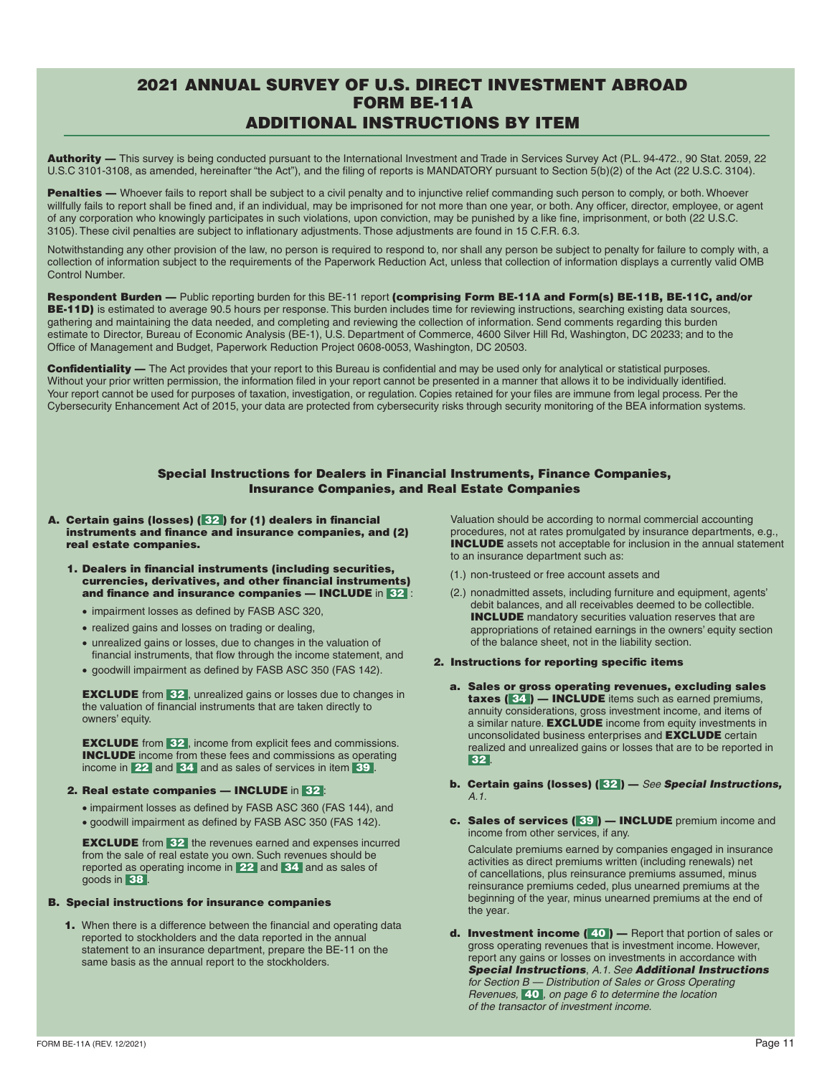# 2021 ANNUAL SURVEY OF U.S. DIRECT INVESTMENT ABROAD FORM BE-11A ADDITIONAL INSTRUCTIONS BY ITEM

Authority — This survey is being conducted pursuant to the International Investment and Trade in Services Survey Act (P.L. 94-472., 90 Stat. 2059, 22 U.S.C 3101-3108, as amended, hereinafter "the Act"), and the filing of reports is MANDATORY pursuant to Section 5(b)(2) of the Act (22 U.S.C. 3104).

Penalties - Whoever fails to report shall be subject to a civil penalty and to injunctive relief commanding such person to comply, or both. Whoever willfully fails to report shall be fined and, if an individual, may be imprisoned for not more than one year, or both. Any officer, director, employee, or agent of any corporation who knowingly participates in such violations, upon conviction, may be punished by a like fine, imprisonment, or both (22 U.S.C. 3105). These civil penalties are subject to inflationary adjustments. Those adjustments are found in 15 C.F.R. 6.3.

Notwithstanding any other provision of the law, no person is required to respond to, nor shall any person be subject to penalty for failure to comply with, a collection of information subject to the requirements of the Paperwork Reduction Act, unless that collection of information displays a currently valid OMB Control Number.

Respondent Burden — Public reporting burden for this BE-11 report (comprising Form BE-11A and Form(s) BE-11B, BE-11C, and/or **BE-11D)** is estimated to average 90.5 hours per response. This burden includes time for reviewing instructions, searching existing data sources, gathering and maintaining the data needed, and completing and reviewing the collection of information. Send comments regarding this burden estimate to Director, Bureau of Economic Analysis (BE-1), U.S. Department of Commerce, 4600 Silver Hill Rd, Washington, DC 20233; and to the Office of Management and Budget, Paperwork Reduction Project 0608-0053, Washington, DC 20503.

Confidentiality — The Act provides that your report to this Bureau is confidential and may be used only for analytical or statistical purposes. Without your prior written permission, the information filed in your report cannot be presented in a manner that allows it to be individually identified. Your report cannot be used for purposes of taxation, investigation, or regulation. Copies retained for your files are immune from legal process. Per the Cybersecurity Enhancement Act of 2015, your data are protected from cybersecurity risks through security monitoring of the BEA information systems.

## Special Instructions for Dealers in Financial Instruments, Finance Companies, Insurance Companies, and Real Estate Companies

- A. Certain gains (losses) ( 32 ) for (1) dealers in financial instruments and finance and insurance companies, and (2) real estate companies.
	- 1. Dealers in financial instruments (including securities, currencies, derivatives, and other financial instruments) and finance and insurance companies  $-$  INCLUDE in 32.
		- impairment losses as defined by FASB ASC 320,
		- realized gains and losses on trading or dealing,
		- unrealized gains or losses, due to changes in the valuation of financial instruments, that flow through the income statement, and
		- goodwill impairment as defined by FASB ASC 350 (FAS 142).

**EXCLUDE** from 32, unrealized gains or losses due to changes in the valuation of financial instruments that are taken directly to owners' equity.

**EXCLUDE** from 32, income from explicit fees and commissions. INCLUDE income from these fees and commissions as operating income in 22 and 34 and as sales of services in item 39.

## 2. Real estate companies — INCLUDE in 32 :

- impairment losses as defined by FASB ASC 360 (FAS 144), and
- goodwill impairment as defined by FASB ASC 350 (FAS 142).

**EXCLUDE** from 32 the revenues earned and expenses incurred from the sale of real estate you own. Such revenues should be reported as operating income in 22 and 34 and as sales of goods in 38 .

#### B. Special instructions for insurance companies

1. When there is a difference between the financial and operating data reported to stockholders and the data reported in the annual statement to an insurance department, prepare the BE-11 on the same basis as the annual report to the stockholders.

Valuation should be according to normal commercial accounting procedures, not at rates promulgated by insurance departments, e.g., INCLUDE assets not acceptable for inclusion in the annual statement to an insurance department such as:

- (1.) non-trusteed or free account assets and
- (2.) nonadmitted assets, including furniture and equipment, agents' debit balances, and all receivables deemed to be collectible. INCLUDE mandatory securities valuation reserves that are appropriations of retained earnings in the owners' equity section of the balance sheet, not in the liability section.

#### 2. Instructions for reporting specific items

- a. Sales or gross operating revenues, excluding sales taxes (34) - INCLUDE items such as earned premiums, annuity considerations, gross investment income, and items of a similar nature. **EXCLUDE** income from equity investments in unconsolidated business enterprises and EXCLUDE certain realized and unrealized gains or losses that are to be reported in  $32$
- b. Certain gains (losses) ( 32 ) *See Special Instructions, A.1.*
- c. Sales of services (39) INCLUDE premium income and income from other services, if any.

Calculate premiums earned by companies engaged in insurance activities as direct premiums written (including renewals) net of cancellations, plus reinsurance premiums assumed, minus reinsurance premiums ceded, plus unearned premiums at the beginning of the year, minus unearned premiums at the end of the year*.* 

d. Investment income (40) - Report that portion of sales or gross operating revenues that is investment income. However, report any gains or losses on investments in accordance with *Special Instructions*, *A.1. See Additional Instructions for Section B — Distribution of Sales or Gross Operating Revenues,* 40 *, on page 6 to determine the location of the transactor of investment income.*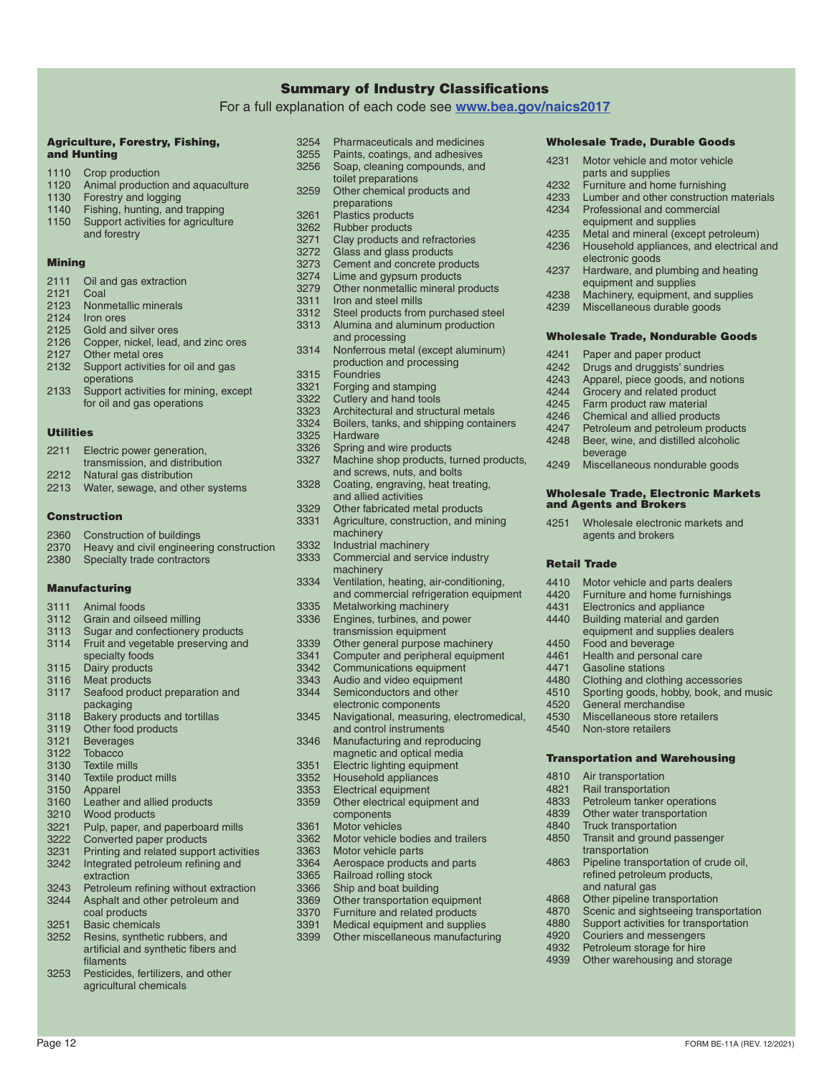## Summary of Industry Classifications

For a full explanation of each code see **[www.bea.gov/naics2017](http://www.bea.gov/naics2017)**

#### Agriculture, Forestry, Fishing, and Hunting

- 1110 Crop production<br>1120 Animal production 1120 Animal production and aquaculture<br>1130 Forestry and logging
- 1130 Forestry and logging<br>1140 Fishing hunting and
- 1140 Fishing, hunting, and trapping<br>1150 Support activities for agriculture
- Support activities for agriculture and forestry

### **Mining**

2111 Oil and gas extraction 2121 Coal<br>2123 Nonn Nonmetallic minerals 2124 Iron ores 2125 Gold and silver ores 2126 Copper, nickel, lead, and zinc ores 2127 Other metal ores 2132 Support activities for oil and gas operations 2133 Support activities for mining, except for oil and gas operations

## Utilities

- 2211 Electric power generation,
- transmission, and distribution
- 2212 Natural gas distribution
- 2213 Water, sewage, and other systems

## Construction

- 2360 Construction of buildings
- 2370 Heavy and civil engineering construction 2380 Specialty trade contractors

#### **Manufacturing**

- 3111 Animal foods 3112 Grain and oilseed milling<br>3113 Sugar and confectionery 3113 Sugar and confectionery products<br>3114 Fruit and vegetable preserving and
- Fruit and vegetable preserving and specialty foods
- 3115 Dairy products<br>3116 Meat products
- 3116 Meat products
- Seafood product preparation and packaging
- 3118 Bakery products and tortillas<br>3119 Other food products
- Other food products
- 3121 Beverages<br>3122 Tobacco
- 3122 Tobacco<br>3130 Textile m
- 3130 Textile mills<br>3140 Textile prod
- 3140 Textile product mills<br>3150 Apparel Apparel
- 3160 Leather and allied products<br>3210 Wood products
- 
- 3210 Wood products<br>3221 Pulp paper and 3221 Pulp, paper, and paperboard mills<br>3222 Converted paper products
- 3222 Converted paper products<br>3231 Printing and related suppo
- Printing and related support activities 3242 Integrated petroleum refining and
- extraction
- 3243 Petroleum refining without extraction<br>3244 Asphalt and other petroleum and
- Asphalt and other petroleum and coal products
- 3251 Basic chemicals<br>3252 Resins, synthetie
- Resins, synthetic rubbers, and artificial and synthetic fibers and filaments
- 3253 Pesticides, fertilizers, and other agricultural chemicals
- 3254 Pharmaceuticals and medicines<br>3255 Paints, coatings, and adhesives
- 3255 Paints, coatings, and adhesives<br>3256 Soap, cleaning compounds, and
	- Soap, cleaning compounds, and toilet preparations
- 3259 Other chemical products and preparations
- 3261 Plastics products<br>3262 Rubber products
- 3262 Rubber products<br>3271 Clay products and
- 3271 Clay products and refractories<br>3272 Glass and glass products
- 3272 Glass and glass products<br>3273 Cement and concrete prod
- 3273 Cement and concrete products<br>3274 Lime and gynsum products
- 3274 Lime and gypsum products<br>3279 Other nonmetallic mineral p
- 3279 Other nonmetallic mineral products<br>3311 Iron and steel mills
- 3311 Iron and steel mills<br>3312 Steel products from
- Steel products from purchased steel 3313 Alumina and aluminum production
- and processing
- 3314 Nonferrous metal (except aluminum) production and processing
	-
- 3315 Foundries<br>3321 Forging an 3321 Forging and stamping<br>3322 Cutlery and hand tools
- 3322 Cutlery and hand tools<br>3323 Architectural and struct
- 
- 3323 Architectural and structural metals<br>3324 Boilers, tanks, and shipping contai 3324 Boilers, tanks, and shipping containers<br>3325 Hardware
- 3325 Hardware<br>3326 Spring and
- 3326 Spring and wire products<br>3327 Machine shop products, tr
	- Machine shop products, turned products, and screws, nuts, and bolts
- 3328 Coating, engraving, heat treating,
- and allied activities
- 3329 Other fabricated metal products<br>3331 Agriculture, construction, and mi Agriculture, construction, and mining machinery
- 
- 3332 Industrial machinery<br>3333 Commercial and ser Commercial and service industry
- machinery
- 3334 Ventilation, heating, air-conditioning, and commercial refrigeration equipment
- 3335 Metalworking machinery<br>3336 Engines, turbines, and po
- Engines, turbines, and power
- transmission equipment
- 3339 Other general purpose machinery<br>3341 Computer and peripheral equipme
- 3341 Computer and peripheral equipment<br>3342 Communications equipment
- 3342 Communications equipment<br>3343 Audio and video equipment
- 3343 Audio and video equipment<br>3344 Semiconductors and other Semiconductors and other
- electronic components
- 3345 Navigational, measuring, electromedical, and control instruments
- 3346 Manufacturing and reproducing magnetic and optical media
- 3351 Electric lighting equipment<br>3352 Household appliances
- 3352 Household appliances<br>3353 Electrical equipment
- Electrical equipment
- 3359 Other electrical equipment and components
- 3361 Motor vehicles<br>3362 Motor vehicle b
- 3362 Motor vehicle bodies and trailers<br>3363 Motor vehicle parts
- Motor vehicle parts
- 3364 Aerospace products and parts<br>3365 Railroad rolling stock
- 3365 Railroad rolling stock<br>3366 Shin and boat building
- 3366 Ship and boat building<br>3369 Other transportation ed
- 3369 Other transportation equipment<br>3370 Furniture and related products
- 3370 Furniture and related products<br>3391 Medical equipment and supplie
- 3391 Medical equipment and supplies<br>3399 Other miscellaneous manufactur Other miscellaneous manufacturing

Page 12 FORM BE-11A (REV. 12/2021)

- Wholesale Trade, Durable Goods
- 4231 Motor vehicle and motor vehicle parts and supplies
- 

electronic goods

4241 Paper and paper product<br>4242 Drugs and druggists' sune 4242 Drugs and druggists' sundries<br>4243 Apparel, piece goods, and not 4243 Apparel, piece goods, and notions<br>4244 Grocery and related product 4244 Grocery and related product<br>4245 Farm product raw material 4245 Farm product raw material<br>4246 Chemical and allied produc 4246 Chemical and allied products<br>4247 Petroleum and petroleum pro 4247 Petroleum and petroleum products<br>4248 Beer, wine, and distilled alcoholic Beer, wine, and distilled alcoholic

beverage

Retail Trade

and Agents and Brokers

4450 Food and beverage<br>4461 Health and persona 4461 Health and personal care<br>4471 Gasoline stations 4471 Gasoline stations<br>4480 Clothing and cloth

4520 General merchandise 4530 Miscellaneous store retailers<br>4540 Non-store retailers Non-store retailers

4810 Air transportation 4821 Rail transportation<br>4833 Petroleum tanker o

4232 Furniture and home furnishing<br>4233 Lumber and other construction

Household appliances, and electrical and

- 4233 Lumber and other construction materials<br>4234 Professional and commercial Professional and commercial equipment and supplies
- 4235 Metal and mineral (except petroleum)<br>4236 Household appliances, and electrical

4237 Hardware, and plumbing and heating equipment and supplies 4238 Machinery, equipment, and supplies<br>4239 Miscellaneous durable goods Miscellaneous durable goods

Wholesale Trade, Nondurable Goods

4249 Miscellaneous nondurable goods

4251 Wholesale electronic markets and agents and brokers

4410 Motor vehicle and parts dealers<br>4420 Furniture and home furnishings 4420 Furniture and home furnishings<br>4431 Electronics and appliance 4431 Electronics and appliance<br>4440 Building material and gard Building material and garden equipment and supplies dealers

4480 Clothing and clothing accessories<br>4510 Sporting goods, hobby, book, and 4510 Sporting goods, hobby, book, and music<br>4520 General merchandise

Transportation and Warehousing

Petroleum tanker operations 4839 Other water transportation 4840 Truck transportation 4850 Transit and ground passenger transportation

4863 Pipeline transportation of crude oil, refined petroleum products,

and natural gas 4868 Other pipeline transportation<br>4870 Scenic and sightseeing trans 4870 Scenic and sightseeing transportation<br>4880 Support activities for transportation Support activities for transportation

4920 Couriers and messengers<br>4932 Petroleum storage for hire Petroleum storage for hire 4939 Other warehousing and storage

Wholesale Trade, Electronic Markets